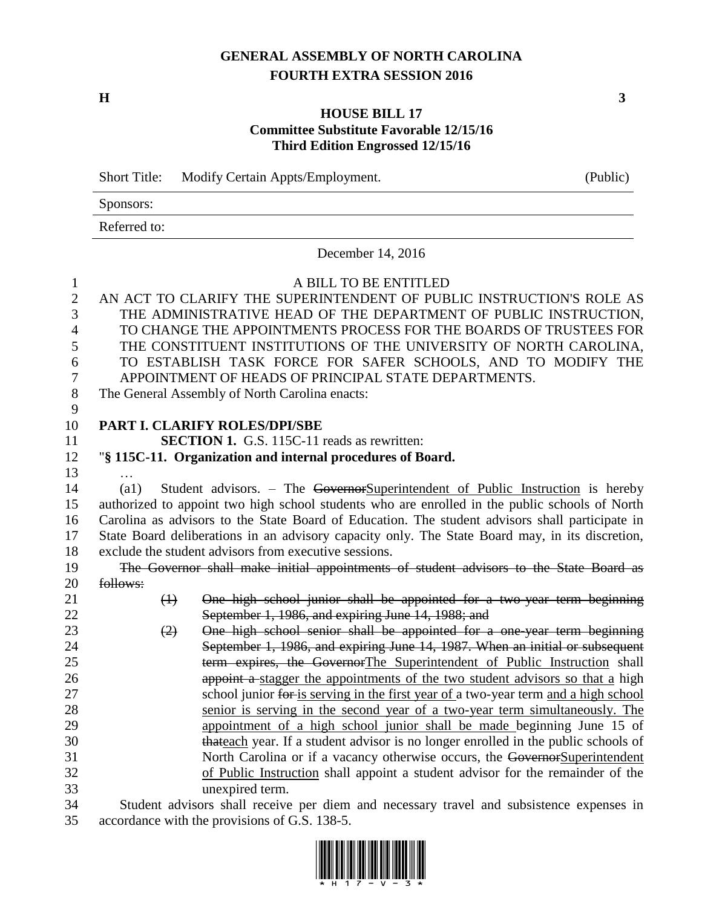# **GENERAL ASSEMBLY OF NORTH CAROLINA FOURTH EXTRA SESSION 2016**

**H 3**

# **HOUSE BILL 17 Committee Substitute Favorable 12/15/16 Third Edition Engrossed 12/15/16**

|                | <b>Short Title:</b>                                                                            | Modify Certain Appts/Employment.                                                                                                                             | (Public) |  |  |  |
|----------------|------------------------------------------------------------------------------------------------|--------------------------------------------------------------------------------------------------------------------------------------------------------------|----------|--|--|--|
|                | Sponsors:                                                                                      |                                                                                                                                                              |          |  |  |  |
|                | Referred to:                                                                                   |                                                                                                                                                              |          |  |  |  |
|                |                                                                                                | December 14, 2016                                                                                                                                            |          |  |  |  |
| $\mathbf{1}$   |                                                                                                | A BILL TO BE ENTITLED                                                                                                                                        |          |  |  |  |
| $\overline{2}$ |                                                                                                | AN ACT TO CLARIFY THE SUPERINTENDENT OF PUBLIC INSTRUCTION'S ROLE AS                                                                                         |          |  |  |  |
| 3              |                                                                                                | THE ADMINISTRATIVE HEAD OF THE DEPARTMENT OF PUBLIC INSTRUCTION,                                                                                             |          |  |  |  |
| 4              |                                                                                                | TO CHANGE THE APPOINTMENTS PROCESS FOR THE BOARDS OF TRUSTEES FOR                                                                                            |          |  |  |  |
| 5              |                                                                                                | THE CONSTITUENT INSTITUTIONS OF THE UNIVERSITY OF NORTH CAROLINA,                                                                                            |          |  |  |  |
| 6              |                                                                                                | TO ESTABLISH TASK FORCE FOR SAFER SCHOOLS, AND TO MODIFY THE                                                                                                 |          |  |  |  |
| 7              |                                                                                                | APPOINTMENT OF HEADS OF PRINCIPAL STATE DEPARTMENTS.                                                                                                         |          |  |  |  |
| $8\,$          | The General Assembly of North Carolina enacts:                                                 |                                                                                                                                                              |          |  |  |  |
| 9              |                                                                                                |                                                                                                                                                              |          |  |  |  |
| 10             |                                                                                                | PART I. CLARIFY ROLES/DPI/SBE                                                                                                                                |          |  |  |  |
| 11             |                                                                                                | <b>SECTION 1.</b> G.S. 115C-11 reads as rewritten:                                                                                                           |          |  |  |  |
| 12             | "§ 115C-11. Organization and internal procedures of Board.                                     |                                                                                                                                                              |          |  |  |  |
| 13             |                                                                                                |                                                                                                                                                              |          |  |  |  |
| 14             | $\left( a1\right)$                                                                             | Student advisors. – The GovernorSuperintendent of Public Instruction is hereby                                                                               |          |  |  |  |
| 15             | authorized to appoint two high school students who are enrolled in the public schools of North |                                                                                                                                                              |          |  |  |  |
| 16             |                                                                                                | Carolina as advisors to the State Board of Education. The student advisors shall participate in                                                              |          |  |  |  |
| 17             |                                                                                                | State Board deliberations in an advisory capacity only. The State Board may, in its discretion,                                                              |          |  |  |  |
| 18             |                                                                                                | exclude the student advisors from executive sessions.                                                                                                        |          |  |  |  |
| 19             |                                                                                                | The Governor shall make initial appointments of student advisors to the State Board as                                                                       |          |  |  |  |
| 20             | follows:                                                                                       |                                                                                                                                                              |          |  |  |  |
| 21             | $\leftrightarrow$                                                                              | One high school junior shall be appointed for a two-year term beginning                                                                                      |          |  |  |  |
| 22             |                                                                                                | September 1, 1986, and expiring June 14, 1988; and                                                                                                           |          |  |  |  |
| 23             | (2)                                                                                            | One high school senior shall be appointed for a one-year term beginning                                                                                      |          |  |  |  |
| 24             |                                                                                                | September 1, 1986, and expiring June 14, 1987. When an initial or subsequent                                                                                 |          |  |  |  |
| 25             |                                                                                                | term expires, the GovernorThe Superintendent of Public Instruction shall                                                                                     |          |  |  |  |
| 26             |                                                                                                | appoint a stagger the appointments of the two student advisors so that a high                                                                                |          |  |  |  |
| 27             |                                                                                                | school junior for is serving in the first year of a two-year term and a high school                                                                          |          |  |  |  |
| 28             |                                                                                                | senior is serving in the second year of a two-year term simultaneously. The                                                                                  |          |  |  |  |
| 29<br>30       |                                                                                                | appointment of a high school junior shall be made beginning June 15 of<br>thateach year. If a student advisor is no longer enrolled in the public schools of |          |  |  |  |
| 31             |                                                                                                | North Carolina or if a vacancy otherwise occurs, the GovernorSuperintendent                                                                                  |          |  |  |  |
| 32             |                                                                                                | of Public Instruction shall appoint a student advisor for the remainder of the                                                                               |          |  |  |  |
| 33             |                                                                                                | unexpired term.                                                                                                                                              |          |  |  |  |
| 34             |                                                                                                | Student advisors shall receive per diem and necessary travel and subsistence expenses in                                                                     |          |  |  |  |
| 35             |                                                                                                | accordance with the provisions of G.S. 138-5.                                                                                                                |          |  |  |  |

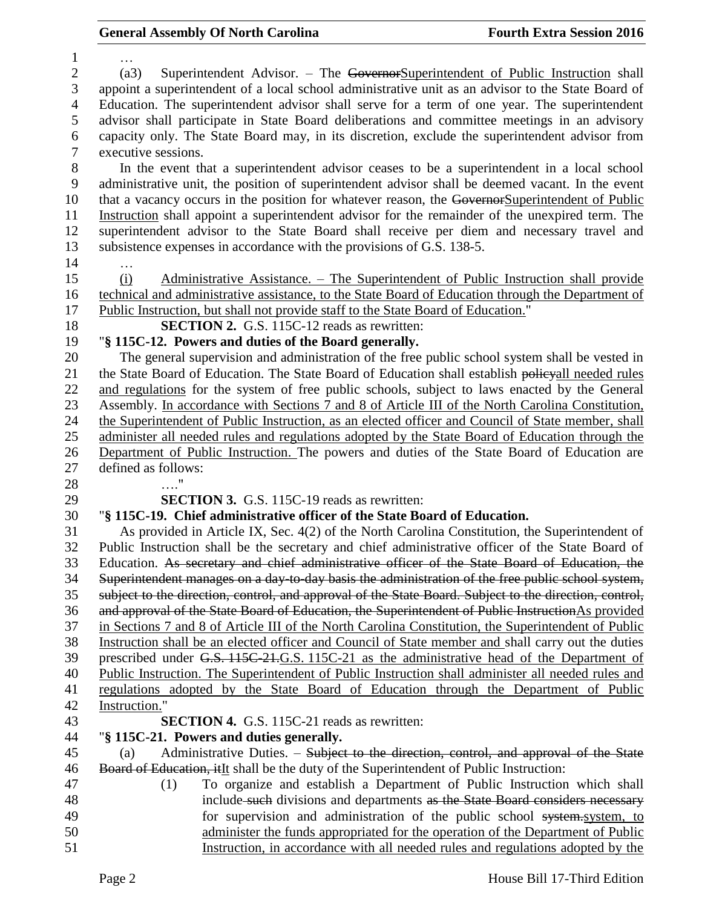… (a3) Superintendent Advisor. – The GovernorSuperintendent of Public Instruction shall appoint a superintendent of a local school administrative unit as an advisor to the State Board of Education. The superintendent advisor shall serve for a term of one year. The superintendent advisor shall participate in State Board deliberations and committee meetings in an advisory capacity only. The State Board may, in its discretion, exclude the superintendent advisor from executive sessions. In the event that a superintendent advisor ceases to be a superintendent in a local school administrative unit, the position of superintendent advisor shall be deemed vacant. In the event 10 that a vacancy occurs in the position for whatever reason, the GovernorSuperintendent of Public Instruction shall appoint a superintendent advisor for the remainder of the unexpired term. The superintendent advisor to the State Board shall receive per diem and necessary travel and subsistence expenses in accordance with the provisions of G.S. 138-5. … (i) Administrative Assistance. – The Superintendent of Public Instruction shall provide technical and administrative assistance, to the State Board of Education through the Department of Public Instruction, but shall not provide staff to the State Board of Education." **SECTION 2.** G.S. 115C-12 reads as rewritten: "**§ 115C-12. Powers and duties of the Board generally.** The general supervision and administration of the free public school system shall be vested in 21 the State Board of Education. The State Board of Education shall establish policyall needed rules and regulations for the system of free public schools, subject to laws enacted by the General Assembly. In accordance with Sections 7 and 8 of Article III of the North Carolina Constitution, the Superintendent of Public Instruction, as an elected officer and Council of State member, shall administer all needed rules and regulations adopted by the State Board of Education through the Department of Public Instruction. The powers and duties of the State Board of Education are defined as follows: …." **SECTION 3.** G.S. 115C-19 reads as rewritten: "**§ 115C-19. Chief administrative officer of the State Board of Education.** As provided in Article IX, Sec. 4(2) of the North Carolina Constitution, the Superintendent of Public Instruction shall be the secretary and chief administrative officer of the State Board of Education. As secretary and chief administrative officer of the State Board of Education, the Superintendent manages on a day-to-day basis the administration of the free public school system, subject to the direction, control, and approval of the State Board. Subject to the direction, control, and approval of the State Board of Education, the Superintendent of Public InstructionAs provided in Sections 7 and 8 of Article III of the North Carolina Constitution, the Superintendent of Public Instruction shall be an elected officer and Council of State member and shall carry out the duties prescribed under G.S. 115C-21.G.S. 115C-21 as the administrative head of the Department of Public Instruction. The Superintendent of Public Instruction shall administer all needed rules and regulations adopted by the State Board of Education through the Department of Public Instruction." **SECTION 4.** G.S. 115C-21 reads as rewritten: "**§ 115C-21. Powers and duties generally.** (a) Administrative Duties. – Subject to the direction, control, and approval of the State 46 Board of Education, it It shall be the duty of the Superintendent of Public Instruction: (1) To organize and establish a Department of Public Instruction which shall 48 include such divisions and departments as the State Board considers necessary 49 for supervision and administration of the public school system, system, to administer the funds appropriated for the operation of the Department of Public Instruction, in accordance with all needed rules and regulations adopted by the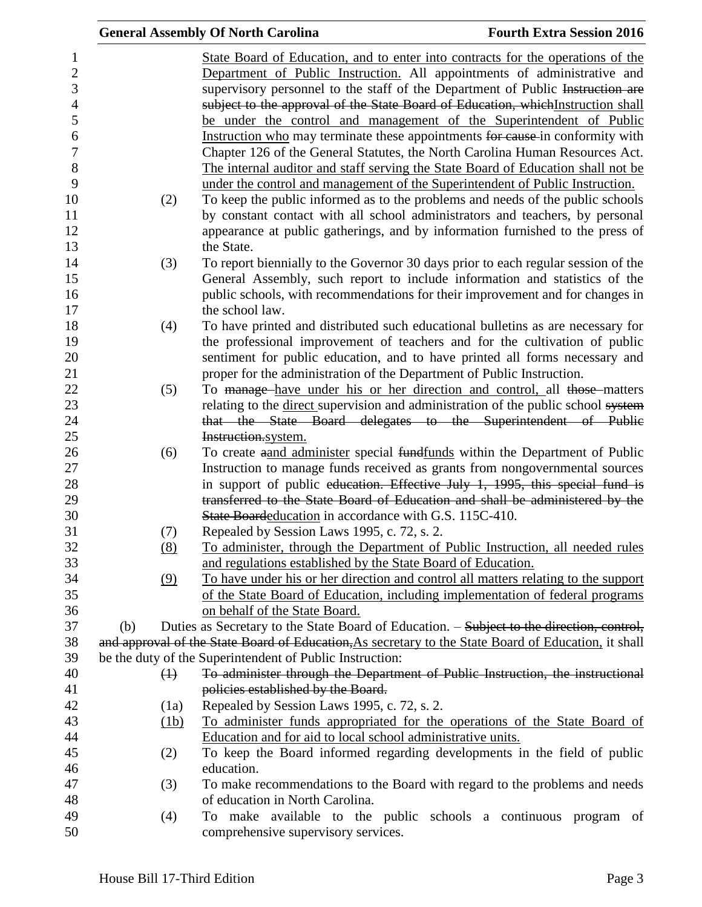|                   | <b>General Assembly Of North Carolina</b>                                                                                                                                                                                                                                                                                                                                                                                                                                                | <b>Fourth Extra Session 2016</b> |
|-------------------|------------------------------------------------------------------------------------------------------------------------------------------------------------------------------------------------------------------------------------------------------------------------------------------------------------------------------------------------------------------------------------------------------------------------------------------------------------------------------------------|----------------------------------|
|                   | State Board of Education, and to enter into contracts for the operations of the<br>Department of Public Instruction. All appointments of administrative and<br>supervisory personnel to the staff of the Department of Public Instruction are<br>subject to the approval of the State Board of Education, whichInstruction shall<br>be under the control and management of the Superintendent of Public<br>Instruction who may terminate these appointments for cause in conformity with |                                  |
|                   | Chapter 126 of the General Statutes, the North Carolina Human Resources Act.<br>The internal auditor and staff serving the State Board of Education shall not be<br>under the control and management of the Superintendent of Public Instruction.                                                                                                                                                                                                                                        |                                  |
| (2)               | To keep the public informed as to the problems and needs of the public schools<br>by constant contact with all school administrators and teachers, by personal<br>appearance at public gatherings, and by information furnished to the press of<br>the State.                                                                                                                                                                                                                            |                                  |
| (3)               | To report biennially to the Governor 30 days prior to each regular session of the<br>General Assembly, such report to include information and statistics of the<br>public schools, with recommendations for their improvement and for changes in<br>the school law.                                                                                                                                                                                                                      |                                  |
| (4)               | To have printed and distributed such educational bulletins as are necessary for<br>the professional improvement of teachers and for the cultivation of public<br>sentiment for public education, and to have printed all forms necessary and                                                                                                                                                                                                                                             |                                  |
| (5)               | proper for the administration of the Department of Public Instruction.<br>To manage have under his or her direction and control, all those matters<br>relating to the <u>direct</u> supervision and administration of the public school system<br>that the State Board delegates to the Superintendent of Public                                                                                                                                                                         |                                  |
| (6)               | Instruction.system.<br>To create aand administer special fundfunds within the Department of Public<br>Instruction to manage funds received as grants from nongovernmental sources<br>in support of public education. Effective July 1, 1995, this special fund is<br>transferred to the State Board of Education and shall be administered by the<br>State Boardeducation in accordance with G.S. 115C-410.                                                                              |                                  |
| (7)<br>(8)        | Repealed by Session Laws 1995, c. 72, s. 2.<br>To administer, through the Department of Public Instruction, all needed rules<br>and regulations established by the State Board of Education.                                                                                                                                                                                                                                                                                             |                                  |
| (9)               | To have under his or her direction and control all matters relating to the support<br>of the State Board of Education, including implementation of federal programs<br>on behalf of the State Board.                                                                                                                                                                                                                                                                                     |                                  |
| (b)               | Duties as Secretary to the State Board of Education. – Subject to the direction, control,                                                                                                                                                                                                                                                                                                                                                                                                |                                  |
|                   | and approval of the State Board of Education, As secretary to the State Board of Education, it shall                                                                                                                                                                                                                                                                                                                                                                                     |                                  |
|                   | be the duty of the Superintendent of Public Instruction:                                                                                                                                                                                                                                                                                                                                                                                                                                 |                                  |
| $\leftrightarrow$ | To administer through the Department of Public Instruction, the instructional                                                                                                                                                                                                                                                                                                                                                                                                            |                                  |
|                   | policies established by the Board.                                                                                                                                                                                                                                                                                                                                                                                                                                                       |                                  |
| (1a)              | Repealed by Session Laws 1995, c. 72, s. 2.                                                                                                                                                                                                                                                                                                                                                                                                                                              |                                  |
| (1b)              | To administer funds appropriated for the operations of the State Board of                                                                                                                                                                                                                                                                                                                                                                                                                |                                  |
| (2)               | Education and for aid to local school administrative units.<br>To keep the Board informed regarding developments in the field of public                                                                                                                                                                                                                                                                                                                                                  |                                  |
| (3)               | education.<br>To make recommendations to the Board with regard to the problems and needs                                                                                                                                                                                                                                                                                                                                                                                                 |                                  |
|                   | of education in North Carolina.                                                                                                                                                                                                                                                                                                                                                                                                                                                          |                                  |
| (4)               | To make available to the public schools a continuous                                                                                                                                                                                                                                                                                                                                                                                                                                     | program of                       |
|                   | comprehensive supervisory services.                                                                                                                                                                                                                                                                                                                                                                                                                                                      |                                  |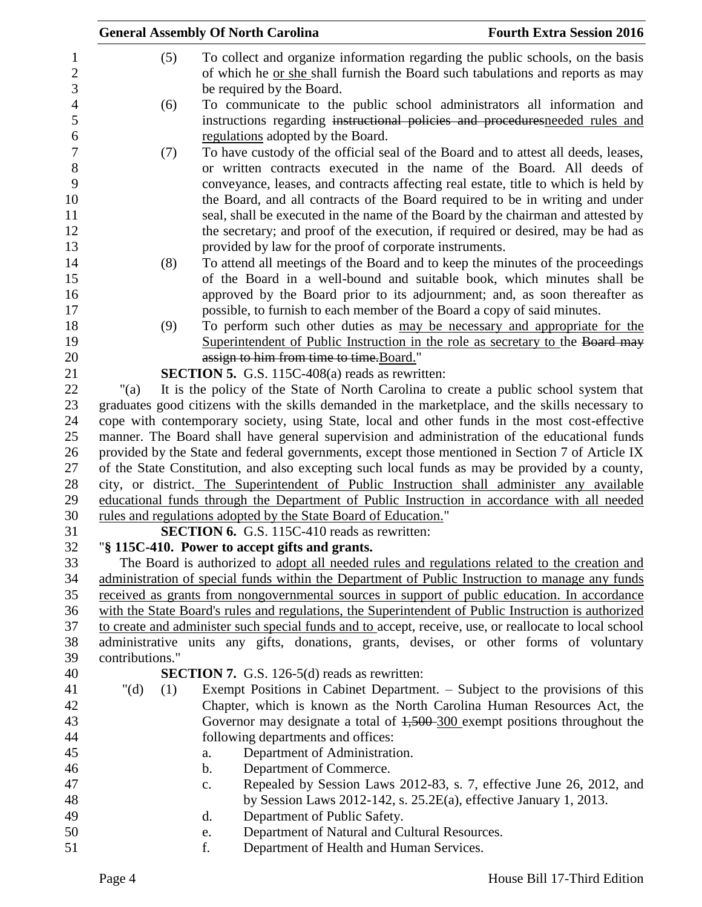|                 | <b>General Assembly Of North Carolina</b>                                                                                                                                                 | <b>Fourth Extra Session 2016</b>                                     |
|-----------------|-------------------------------------------------------------------------------------------------------------------------------------------------------------------------------------------|----------------------------------------------------------------------|
| (5)             | To collect and organize information regarding the public schools, on the basis                                                                                                            |                                                                      |
|                 | of which he or she shall furnish the Board such tabulations and reports as may                                                                                                            |                                                                      |
|                 | be required by the Board.                                                                                                                                                                 |                                                                      |
| (6)             | To communicate to the public school administrators all information and                                                                                                                    |                                                                      |
|                 | instructions regarding instructional policies and procedures needed rules and                                                                                                             |                                                                      |
|                 | regulations adopted by the Board.                                                                                                                                                         |                                                                      |
| (7)             | To have custody of the official seal of the Board and to attest all deeds, leases,                                                                                                        |                                                                      |
|                 | or written contracts executed in the name of the Board. All deeds of                                                                                                                      |                                                                      |
|                 | conveyance, leases, and contracts affecting real estate, title to which is held by                                                                                                        |                                                                      |
|                 | the Board, and all contracts of the Board required to be in writing and under                                                                                                             |                                                                      |
|                 | seal, shall be executed in the name of the Board by the chairman and attested by                                                                                                          |                                                                      |
|                 | the secretary; and proof of the execution, if required or desired, may be had as                                                                                                          |                                                                      |
|                 | provided by law for the proof of corporate instruments.                                                                                                                                   |                                                                      |
| (8)             | To attend all meetings of the Board and to keep the minutes of the proceedings                                                                                                            |                                                                      |
|                 | of the Board in a well-bound and suitable book, which minutes shall be                                                                                                                    |                                                                      |
|                 | approved by the Board prior to its adjournment; and, as soon thereafter as                                                                                                                |                                                                      |
|                 | possible, to furnish to each member of the Board a copy of said minutes.                                                                                                                  |                                                                      |
| (9)             | To perform such other duties as may be necessary and appropriate for the                                                                                                                  |                                                                      |
|                 | Superintendent of Public Instruction in the role as secretary to the Board may                                                                                                            |                                                                      |
|                 | assign to him from time to time. Board."                                                                                                                                                  |                                                                      |
|                 | <b>SECTION 5.</b> G.S. 115C-408(a) reads as rewritten:                                                                                                                                    |                                                                      |
| " $(a)$         | It is the policy of the State of North Carolina to create a public school system that<br>graduates good citizens with the skills demanded in the marketplace, and the skills necessary to |                                                                      |
|                 | cope with contemporary society, using State, local and other funds in the most cost-effective                                                                                             |                                                                      |
|                 | manner. The Board shall have general supervision and administration of the educational funds                                                                                              |                                                                      |
|                 | provided by the State and federal governments, except those mentioned in Section 7 of Article IX                                                                                          |                                                                      |
|                 | of the State Constitution, and also excepting such local funds as may be provided by a county,                                                                                            |                                                                      |
|                 | city, or district. The Superintendent of Public Instruction shall administer any available                                                                                                |                                                                      |
|                 | educational funds through the Department of Public Instruction in accordance with all needed                                                                                              |                                                                      |
|                 | rules and regulations adopted by the State Board of Education."                                                                                                                           |                                                                      |
|                 | <b>SECTION 6.</b> G.S. 115C-410 reads as rewritten:                                                                                                                                       |                                                                      |
|                 | "§ 115C-410. Power to accept gifts and grants.                                                                                                                                            |                                                                      |
|                 | The Board is authorized to adopt all needed rules and regulations related to the creation and                                                                                             |                                                                      |
|                 | administration of special funds within the Department of Public Instruction to manage any funds                                                                                           |                                                                      |
|                 | received as grants from nongovernmental sources in support of public education. In accordance                                                                                             |                                                                      |
|                 | with the State Board's rules and regulations, the Superintendent of Public Instruction is authorized                                                                                      |                                                                      |
|                 | to create and administer such special funds and to accept, receive, use, or reallocate to local school                                                                                    |                                                                      |
|                 | administrative units any gifts, donations, grants, devises, or other forms of voluntary                                                                                                   |                                                                      |
| contributions." |                                                                                                                                                                                           |                                                                      |
|                 | <b>SECTION 7.</b> G.S. 126-5(d) reads as rewritten:                                                                                                                                       |                                                                      |
| " $(d)$<br>(1)  | Exempt Positions in Cabinet Department. – Subject to the provisions of this                                                                                                               |                                                                      |
|                 | Chapter, which is known as the North Carolina Human Resources Act, the<br>Governor may designate a total of $1,500$ -300 exempt positions throughout the                                  |                                                                      |
|                 | following departments and offices:                                                                                                                                                        |                                                                      |
|                 | Department of Administration.<br>a.                                                                                                                                                       |                                                                      |
|                 | Department of Commerce.<br>$\mathbf b$ .                                                                                                                                                  |                                                                      |
|                 | c.                                                                                                                                                                                        | Repealed by Session Laws 2012-83, s. 7, effective June 26, 2012, and |
|                 | by Session Laws $2012-142$ , s. $25.2E(a)$ , effective January 1, 2013.                                                                                                                   |                                                                      |
|                 | Department of Public Safety.<br>d.                                                                                                                                                        |                                                                      |
|                 | Department of Natural and Cultural Resources.<br>e.                                                                                                                                       |                                                                      |
|                 | f.<br>Department of Health and Human Services.                                                                                                                                            |                                                                      |
|                 |                                                                                                                                                                                           |                                                                      |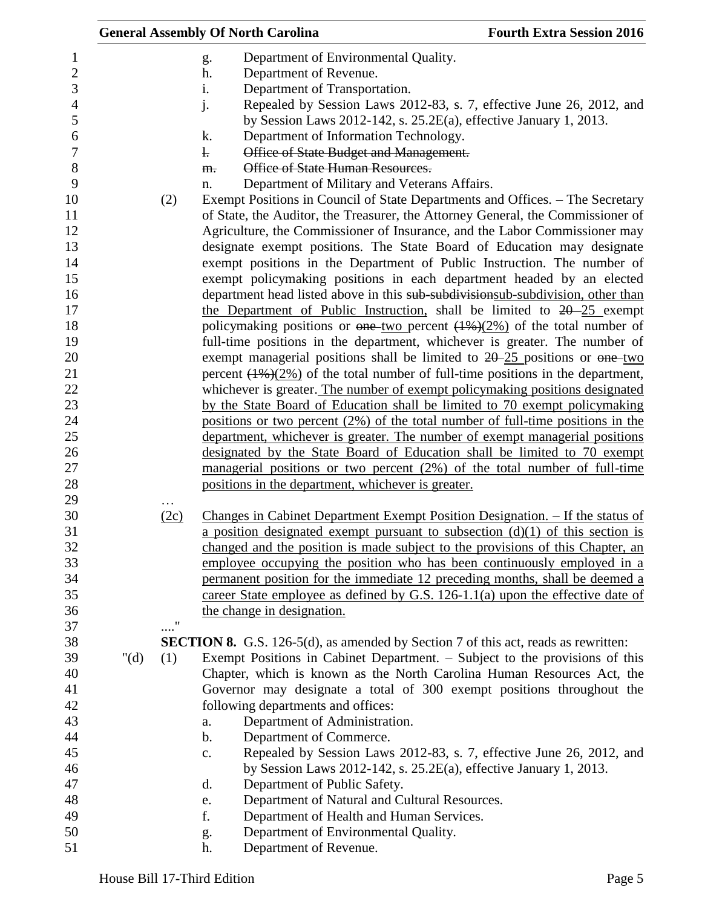|                                                                     |         |            | <b>General Assembly Of North Carolina</b>                                                                                                                                                                                                                                                                              | <b>Fourth Extra Session 2016</b> |
|---------------------------------------------------------------------|---------|------------|------------------------------------------------------------------------------------------------------------------------------------------------------------------------------------------------------------------------------------------------------------------------------------------------------------------------|----------------------------------|
| 1<br>$\boldsymbol{2}$<br>$\mathfrak{Z}$<br>$\overline{4}$<br>5<br>6 |         |            | Department of Environmental Quality.<br>g.<br>Department of Revenue.<br>h.<br>Department of Transportation.<br>i.<br>j.<br>Repealed by Session Laws 2012-83, s. 7, effective June 26, 2012, and<br>by Session Laws 2012-142, s. $25.2E(a)$ , effective January 1, 2013.<br>Department of Information Technology.<br>k. |                                  |
| 7<br>8                                                              |         |            | Office of State Budget and Management.<br>$\mathbf{L}$<br>Office of State Human Resources.<br>m.                                                                                                                                                                                                                       |                                  |
| 9                                                                   |         |            | Department of Military and Veterans Affairs.<br>n.                                                                                                                                                                                                                                                                     |                                  |
| 10<br>11<br>12                                                      |         | (2)        | Exempt Positions in Council of State Departments and Offices. – The Secretary<br>of State, the Auditor, the Treasurer, the Attorney General, the Commissioner of<br>Agriculture, the Commissioner of Insurance, and the Labor Commissioner may                                                                         |                                  |
| 13<br>14                                                            |         |            | designate exempt positions. The State Board of Education may designate<br>exempt positions in the Department of Public Instruction. The number of                                                                                                                                                                      |                                  |
| 15                                                                  |         |            | exempt policymaking positions in each department headed by an elected                                                                                                                                                                                                                                                  |                                  |
| 16                                                                  |         |            | department head listed above in this sub-subdivisionsub-subdivision, other than                                                                                                                                                                                                                                        |                                  |
| 17                                                                  |         |            | the Department of Public Instruction, shall be limited to $20-25$ exempt                                                                                                                                                                                                                                               |                                  |
| 18                                                                  |         |            | policymaking positions or one two percent $(1\%)$ (2%) of the total number of                                                                                                                                                                                                                                          |                                  |
| 19<br>20                                                            |         |            | full-time positions in the department, whichever is greater. The number of<br>exempt managerial positions shall be limited to $20-25$ positions or $\theta$ one-two                                                                                                                                                    |                                  |
| 21                                                                  |         |            | percent $(1\%)$ (2%) of the total number of full-time positions in the department,                                                                                                                                                                                                                                     |                                  |
| 22                                                                  |         |            | whichever is greater. The number of exempt policymaking positions designated                                                                                                                                                                                                                                           |                                  |
| 23                                                                  |         |            | by the State Board of Education shall be limited to 70 exempt policymaking                                                                                                                                                                                                                                             |                                  |
| 24                                                                  |         |            | positions or two percent $(2\%)$ of the total number of full-time positions in the                                                                                                                                                                                                                                     |                                  |
| 25                                                                  |         |            | department, whichever is greater. The number of exempt managerial positions                                                                                                                                                                                                                                            |                                  |
| 26                                                                  |         |            | designated by the State Board of Education shall be limited to 70 exempt                                                                                                                                                                                                                                               |                                  |
| 27                                                                  |         |            | managerial positions or two percent $(2%)$ of the total number of full-time                                                                                                                                                                                                                                            |                                  |
| 28<br>29                                                            |         |            | positions in the department, whichever is greater.                                                                                                                                                                                                                                                                     |                                  |
| 30                                                                  |         | (2c)       | Changes in Cabinet Department Exempt Position Designation. - If the status of                                                                                                                                                                                                                                          |                                  |
| 31<br>32                                                            |         |            | a position designated exempt pursuant to subsection $(d)(1)$ of this section is<br>changed and the position is made subject to the provisions of this Chapter, an                                                                                                                                                      |                                  |
| 33                                                                  |         |            | employee occupying the position who has been continuously employed in a                                                                                                                                                                                                                                                |                                  |
| 34                                                                  |         |            | permanent position for the immediate 12 preceding months, shall be deemed a                                                                                                                                                                                                                                            |                                  |
| 35                                                                  |         |            | career State employee as defined by G.S. 126-1.1(a) upon the effective date of                                                                                                                                                                                                                                         |                                  |
| 36<br>37                                                            |         | $\ldots$ " | the change in designation.                                                                                                                                                                                                                                                                                             |                                  |
| 38                                                                  |         |            | <b>SECTION 8.</b> G.S. 126-5(d), as amended by Section 7 of this act, reads as rewritten:                                                                                                                                                                                                                              |                                  |
| 39                                                                  | " $(d)$ | (1)        | Exempt Positions in Cabinet Department. – Subject to the provisions of this                                                                                                                                                                                                                                            |                                  |
| 40                                                                  |         |            | Chapter, which is known as the North Carolina Human Resources Act, the                                                                                                                                                                                                                                                 |                                  |
| 41                                                                  |         |            | Governor may designate a total of 300 exempt positions throughout the                                                                                                                                                                                                                                                  |                                  |
| 42                                                                  |         |            | following departments and offices:                                                                                                                                                                                                                                                                                     |                                  |
| 43                                                                  |         |            | Department of Administration.<br>a.                                                                                                                                                                                                                                                                                    |                                  |
| 44<br>45                                                            |         |            | Department of Commerce.<br>b.                                                                                                                                                                                                                                                                                          |                                  |
| 46                                                                  |         |            | Repealed by Session Laws 2012-83, s. 7, effective June 26, 2012, and<br>$\mathbf{c}$ .<br>by Session Laws 2012-142, s. 25.2E(a), effective January 1, 2013.                                                                                                                                                            |                                  |
| 47                                                                  |         |            | Department of Public Safety.<br>d.                                                                                                                                                                                                                                                                                     |                                  |
| 48                                                                  |         |            | Department of Natural and Cultural Resources.<br>e.                                                                                                                                                                                                                                                                    |                                  |
| 49                                                                  |         |            | f.<br>Department of Health and Human Services.                                                                                                                                                                                                                                                                         |                                  |
| 50                                                                  |         |            | Department of Environmental Quality.<br>g.                                                                                                                                                                                                                                                                             |                                  |
| 51                                                                  |         |            | Department of Revenue.<br>h.                                                                                                                                                                                                                                                                                           |                                  |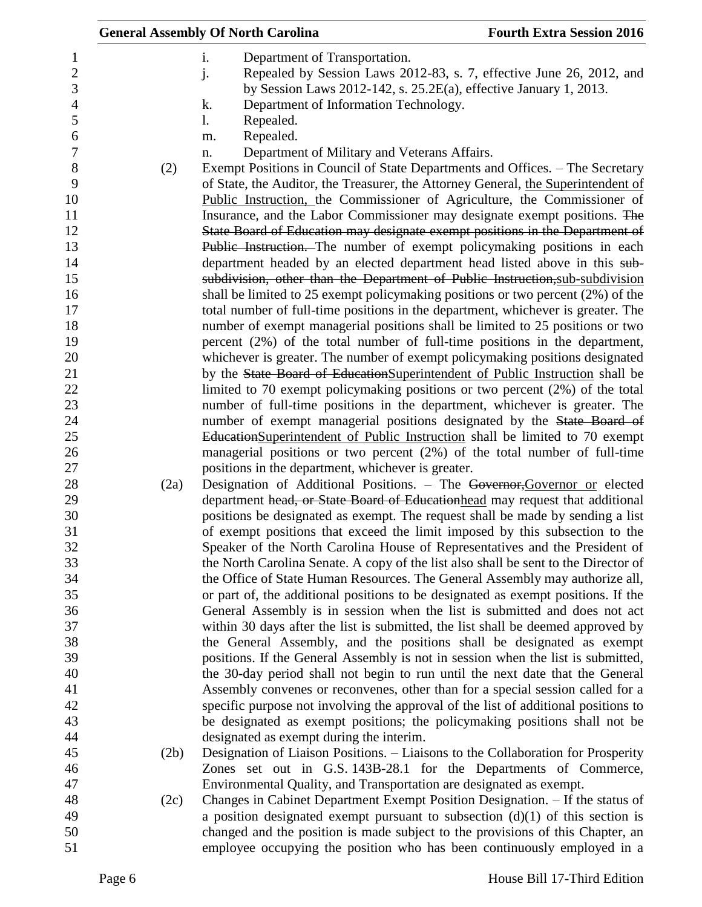|                | <b>General Assembly Of North Carolina</b>                                           | <b>Fourth Extra Session 2016</b> |
|----------------|-------------------------------------------------------------------------------------|----------------------------------|
| $\mathbf{i}$ . | Department of Transportation.                                                       |                                  |
| j.             | Repealed by Session Laws 2012-83, s. 7, effective June 26, 2012, and                |                                  |
|                | by Session Laws $2012-142$ , s. $25.2E(a)$ , effective January 1, 2013.             |                                  |
| k.             | Department of Information Technology.                                               |                                  |
| $\mathbf{l}$ . | Repealed.                                                                           |                                  |
| m.             | Repealed.                                                                           |                                  |
| n.             | Department of Military and Veterans Affairs.                                        |                                  |
| (2)            | Exempt Positions in Council of State Departments and Offices. – The Secretary       |                                  |
|                | of State, the Auditor, the Treasurer, the Attorney General, the Superintendent of   |                                  |
|                | Public Instruction, the Commissioner of Agriculture, the Commissioner of            |                                  |
|                | Insurance, and the Labor Commissioner may designate exempt positions. The           |                                  |
|                | State Board of Education may designate exempt positions in the Department of        |                                  |
|                | Public Instruction. The number of exempt policymaking positions in each             |                                  |
|                | department headed by an elected department head listed above in this sub-           |                                  |
|                | subdivision, other than the Department of Public Instruction, sub-subdivision       |                                  |
|                | shall be limited to 25 exempt policymaking positions or two percent (2%) of the     |                                  |
|                | total number of full-time positions in the department, whichever is greater. The    |                                  |
|                | number of exempt managerial positions shall be limited to 25 positions or two       |                                  |
|                | percent $(2\%)$ of the total number of full-time positions in the department,       |                                  |
|                | whichever is greater. The number of exempt policymaking positions designated        |                                  |
|                | by the State Board of Education Superintendent of Public Instruction shall be       |                                  |
|                | limited to 70 exempt policymaking positions or two percent $(2%)$ of the total      |                                  |
|                | number of full-time positions in the department, whichever is greater. The          |                                  |
|                | number of exempt managerial positions designated by the State Board of              |                                  |
|                | EducationSuperintendent of Public Instruction shall be limited to 70 exempt         |                                  |
|                | managerial positions or two percent $(2%)$ of the total number of full-time         |                                  |
|                | positions in the department, whichever is greater.                                  |                                  |
| (2a)           | Designation of Additional Positions. - The Governor, Governor or elected            |                                  |
|                | department head, or State Board of Education head may request that additional       |                                  |
|                | positions be designated as exempt. The request shall be made by sending a list      |                                  |
|                | of exempt positions that exceed the limit imposed by this subsection to the         |                                  |
|                | Speaker of the North Carolina House of Representatives and the President of         |                                  |
|                | the North Carolina Senate. A copy of the list also shall be sent to the Director of |                                  |
|                | the Office of State Human Resources. The General Assembly may authorize all,        |                                  |
|                | or part of, the additional positions to be designated as exempt positions. If the   |                                  |
|                | General Assembly is in session when the list is submitted and does not act          |                                  |
|                | within 30 days after the list is submitted, the list shall be deemed approved by    |                                  |
|                | the General Assembly, and the positions shall be designated as exempt               |                                  |
|                | positions. If the General Assembly is not in session when the list is submitted,    |                                  |
|                | the 30-day period shall not begin to run until the next date that the General       |                                  |
|                | Assembly convenes or reconvenes, other than for a special session called for a      |                                  |
|                | specific purpose not involving the approval of the list of additional positions to  |                                  |
|                | be designated as exempt positions; the policymaking positions shall not be          |                                  |
|                | designated as exempt during the interim.                                            |                                  |
| (2b)           | Designation of Liaison Positions. - Liaisons to the Collaboration for Prosperity    |                                  |
|                | Zones set out in G.S. 143B-28.1 for the Departments of Commerce,                    |                                  |
|                | Environmental Quality, and Transportation are designated as exempt.                 |                                  |
| (2c)           | Changes in Cabinet Department Exempt Position Designation. - If the status of       |                                  |
|                | a position designated exempt pursuant to subsection $(d)(1)$ of this section is     |                                  |
|                | changed and the position is made subject to the provisions of this Chapter, an      |                                  |
|                | employee occupying the position who has been continuously employed in a             |                                  |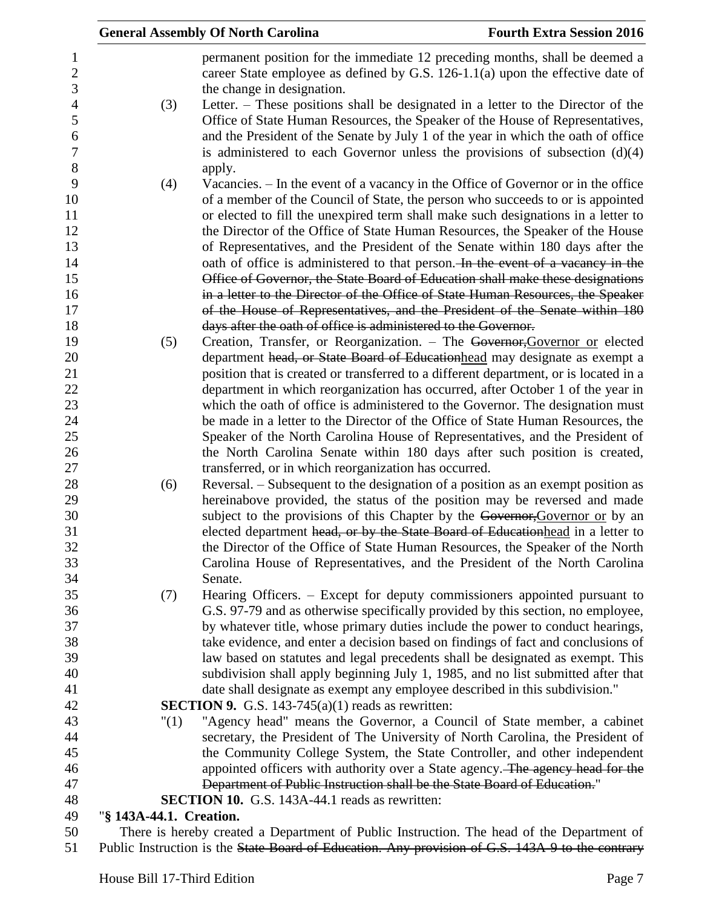|                         | <b>General Assembly Of North Carolina</b>                                                                                                                     | <b>Fourth Extra Session 2016</b> |
|-------------------------|---------------------------------------------------------------------------------------------------------------------------------------------------------------|----------------------------------|
|                         | permanent position for the immediate 12 preceding months, shall be deemed a<br>career State employee as defined by G.S. 126-1.1(a) upon the effective date of |                                  |
|                         | the change in designation.                                                                                                                                    |                                  |
| (3)                     | Letter. – These positions shall be designated in a letter to the Director of the                                                                              |                                  |
|                         | Office of State Human Resources, the Speaker of the House of Representatives,                                                                                 |                                  |
|                         | and the President of the Senate by July 1 of the year in which the oath of office                                                                             |                                  |
|                         | is administered to each Governor unless the provisions of subsection $(d)(4)$                                                                                 |                                  |
|                         | apply.                                                                                                                                                        |                                  |
| (4)                     | Vacancies. – In the event of a vacancy in the Office of Governor or in the office                                                                             |                                  |
|                         | of a member of the Council of State, the person who succeeds to or is appointed                                                                               |                                  |
|                         | or elected to fill the unexpired term shall make such designations in a letter to                                                                             |                                  |
|                         | the Director of the Office of State Human Resources, the Speaker of the House                                                                                 |                                  |
|                         | of Representatives, and the President of the Senate within 180 days after the                                                                                 |                                  |
|                         | oath of office is administered to that person. In the event of a vacancy in the                                                                               |                                  |
|                         | Office of Governor, the State Board of Education shall make these designations                                                                                |                                  |
|                         | in a letter to the Director of the Office of State Human Resources, the Speaker                                                                               |                                  |
|                         | of the House of Representatives, and the President of the Senate within 180                                                                                   |                                  |
|                         | days after the oath of office is administered to the Governor.                                                                                                |                                  |
| (5)                     | Creation, Transfer, or Reorganization. - The Governor, Governor or elected                                                                                    |                                  |
|                         | department head, or State Board of Educationhead may designate as exempt a                                                                                    |                                  |
|                         | position that is created or transferred to a different department, or is located in a                                                                         |                                  |
|                         | department in which reorganization has occurred, after October 1 of the year in                                                                               |                                  |
|                         | which the oath of office is administered to the Governor. The designation must                                                                                |                                  |
|                         | be made in a letter to the Director of the Office of State Human Resources, the                                                                               |                                  |
|                         | Speaker of the North Carolina House of Representatives, and the President of                                                                                  |                                  |
|                         | the North Carolina Senate within 180 days after such position is created,                                                                                     |                                  |
|                         | transferred, or in which reorganization has occurred.<br>Reversal. – Subsequent to the designation of a position as an exempt position as                     |                                  |
| (6)                     | hereinabove provided, the status of the position may be reversed and made                                                                                     |                                  |
|                         | subject to the provisions of this Chapter by the Governor, Governor or by an                                                                                  |                                  |
|                         | elected department head, or by the State Board of Educationhead in a letter to                                                                                |                                  |
|                         | the Director of the Office of State Human Resources, the Speaker of the North                                                                                 |                                  |
|                         | Carolina House of Representatives, and the President of the North Carolina                                                                                    |                                  |
|                         | Senate.                                                                                                                                                       |                                  |
| (7)                     | Hearing Officers. – Except for deputy commissioners appointed pursuant to                                                                                     |                                  |
|                         | G.S. 97-79 and as otherwise specifically provided by this section, no employee,                                                                               |                                  |
|                         | by whatever title, whose primary duties include the power to conduct hearings,                                                                                |                                  |
|                         | take evidence, and enter a decision based on findings of fact and conclusions of                                                                              |                                  |
|                         | law based on statutes and legal precedents shall be designated as exempt. This                                                                                |                                  |
|                         | subdivision shall apply beginning July 1, 1985, and no list submitted after that                                                                              |                                  |
|                         | date shall designate as exempt any employee described in this subdivision."                                                                                   |                                  |
|                         | <b>SECTION 9.</b> G.S. 143-745(a)(1) reads as rewritten:                                                                                                      |                                  |
| "(1)                    | "Agency head" means the Governor, a Council of State member, a cabinet                                                                                        |                                  |
|                         | secretary, the President of The University of North Carolina, the President of                                                                                |                                  |
|                         | the Community College System, the State Controller, and other independent                                                                                     |                                  |
|                         | appointed officers with authority over a State agency. The agency head for the                                                                                |                                  |
|                         | Department of Public Instruction shall be the State Board of Education."                                                                                      |                                  |
|                         | <b>SECTION 10.</b> G.S. 143A-44.1 reads as rewritten:                                                                                                         |                                  |
| "§ 143A-44.1. Creation. |                                                                                                                                                               |                                  |
|                         | There is hereby created a Department of Public Instruction. The head of the Department of                                                                     |                                  |

51 Public Instruction is the State Board of Education. Any provision of G.S. 143A-9 to the contrary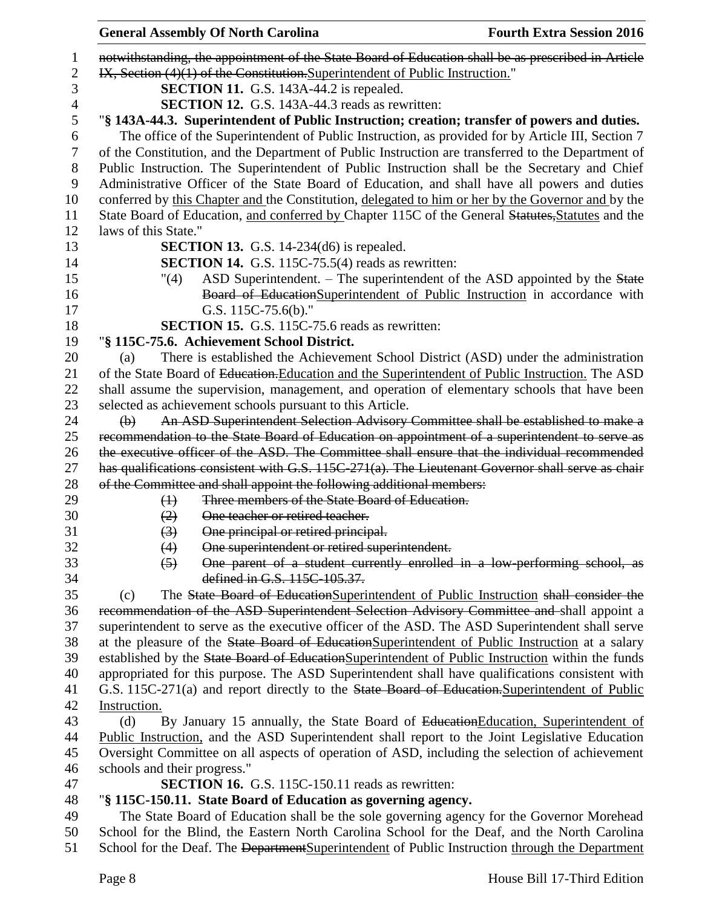|                | <b>General Assembly Of North Carolina</b>                                                          | <b>Fourth Extra Session 2016</b> |
|----------------|----------------------------------------------------------------------------------------------------|----------------------------------|
| 1              | notwithstanding, the appointment of the State Board of Education shall be as prescribed in Article |                                  |
| $\overline{c}$ | IX, Section (4)(1) of the Constitution. Superintendent of Public Instruction."                     |                                  |
| 3              | <b>SECTION 11.</b> G.S. 143A-44.2 is repealed.                                                     |                                  |
| 4              | <b>SECTION 12.</b> G.S. 143A-44.3 reads as rewritten:                                              |                                  |
| 5              | "§ 143A-44.3. Superintendent of Public Instruction; creation; transfer of powers and duties.       |                                  |
| 6              | The office of the Superintendent of Public Instruction, as provided for by Article III, Section 7  |                                  |
| 7              | of the Constitution, and the Department of Public Instruction are transferred to the Department of |                                  |
| 8              | Public Instruction. The Superintendent of Public Instruction shall be the Secretary and Chief      |                                  |
| 9              | Administrative Officer of the State Board of Education, and shall have all powers and duties       |                                  |
| 10             | conferred by this Chapter and the Constitution, delegated to him or her by the Governor and by the |                                  |
| 11             | State Board of Education, and conferred by Chapter 115C of the General Statutes, Statutes and the  |                                  |
| 12             | laws of this State."                                                                               |                                  |
| 13             | <b>SECTION 13.</b> G.S. 14-234 $(d6)$ is repealed.                                                 |                                  |
| 14             | <b>SECTION 14.</b> G.S. 115C-75.5(4) reads as rewritten:                                           |                                  |
| 15             | ASD Superintendent. – The superintendent of the ASD appointed by the State<br>"(4)                 |                                  |
| 16             | Board of EducationSuperintendent of Public Instruction in accordance with                          |                                  |
| 17             | G.S. 115C-75.6(b)."                                                                                |                                  |
| 18             | <b>SECTION 15.</b> G.S. 115C-75.6 reads as rewritten:                                              |                                  |
| 19             | "§ 115C-75.6. Achievement School District.                                                         |                                  |
| 20             | There is established the Achievement School District (ASD) under the administration<br>(a)         |                                  |
| 21             | of the State Board of Education. Education and the Superintendent of Public Instruction. The ASD   |                                  |
| 22             | shall assume the supervision, management, and operation of elementary schools that have been       |                                  |
| 23             | selected as achievement schools pursuant to this Article.                                          |                                  |
| 24             | An ASD Superintendent Selection Advisory Committee shall be established to make a<br>$\Theta$      |                                  |
| 25             | recommendation to the State Board of Education on appointment of a superintendent to serve as      |                                  |
| 26             | the executive officer of the ASD. The Committee shall ensure that the individual recommended       |                                  |
| 27             | has qualifications consistent with G.S. 115C-271(a). The Lieutenant Governor shall serve as chair  |                                  |
| 28             | of the Committee and shall appoint the following additional members:                               |                                  |
| 29             | Three members of the State Board of Education.<br>$\leftrightarrow$                                |                                  |
| 30             | One teacher or retired teacher.<br>(2)                                                             |                                  |
| 31             | One principal or retired principal.<br>$\left(3\right)$                                            |                                  |
| 32             | (4)<br>One superintendent or retired superintendent.                                               |                                  |
| 33             | One parent of a student currently enrolled in a low-performing school, as<br>$\left(5\right)$      |                                  |
| 34             | defined in G.S. 115C-105.37.                                                                       |                                  |
| 35             | The State Board of EducationSuperintendent of Public Instruction shall consider the<br>(c)         |                                  |
| 36             | recommendation of the ASD Superintendent Selection Advisory Committee and shall appoint a          |                                  |
| 37             | superintendent to serve as the executive officer of the ASD. The ASD Superintendent shall serve    |                                  |
| 38             | at the pleasure of the State Board of Education Superintendent of Public Instruction at a salary   |                                  |
| 39             | established by the State Board of EducationSuperintendent of Public Instruction within the funds   |                                  |
| 40             | appropriated for this purpose. The ASD Superintendent shall have qualifications consistent with    |                                  |
| 41             | G.S. 115C-271(a) and report directly to the State Board of Education. Superintendent of Public     |                                  |
| 42             | Instruction.                                                                                       |                                  |
| 43             | By January 15 annually, the State Board of Education Education, Superintendent of<br>(d)           |                                  |
| 44             | Public Instruction, and the ASD Superintendent shall report to the Joint Legislative Education     |                                  |
| 45             | Oversight Committee on all aspects of operation of ASD, including the selection of achievement     |                                  |
| 46             | schools and their progress."                                                                       |                                  |
| 47             | <b>SECTION 16.</b> G.S. 115C-150.11 reads as rewritten:                                            |                                  |
| 48             | "§ 115C-150.11. State Board of Education as governing agency.                                      |                                  |
| 49             | The State Board of Education shall be the sole governing agency for the Governor Morehead          |                                  |
| 50             | School for the Blind, the Eastern North Carolina School for the Deaf, and the North Carolina       |                                  |
| 51             | School for the Deaf. The Department Superintendent of Public Instruction through the Department    |                                  |
|                |                                                                                                    |                                  |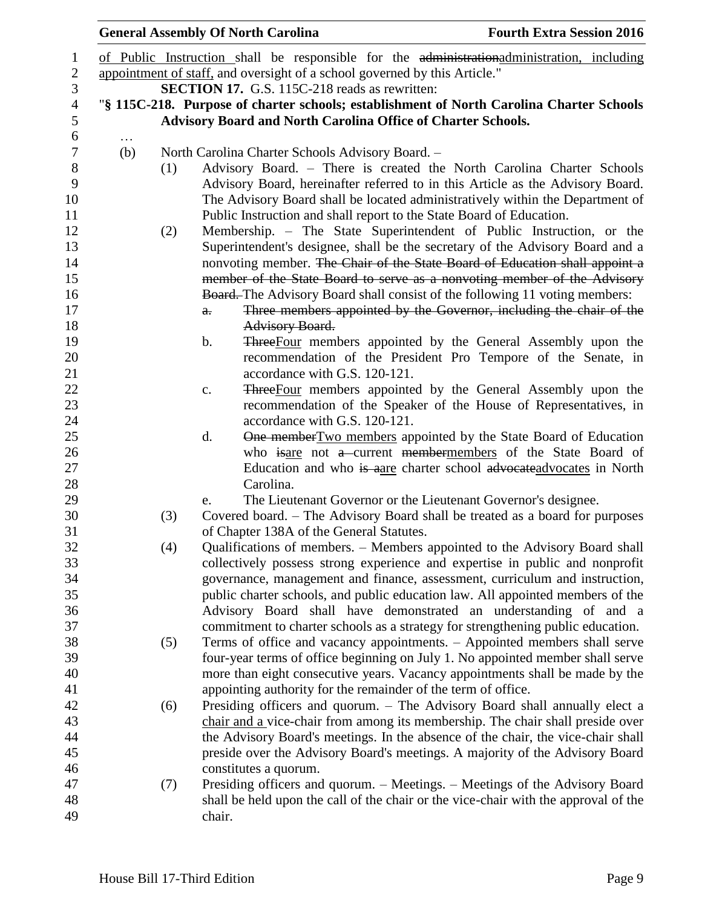|     |     | <b>General Assembly Of North Carolina</b>                                                                                                             | <b>Fourth Extra Session 2016</b>                                     |
|-----|-----|-------------------------------------------------------------------------------------------------------------------------------------------------------|----------------------------------------------------------------------|
|     |     | of Public Instruction shall be responsible for the administrational ministration, including                                                           |                                                                      |
|     |     | appointment of staff, and oversight of a school governed by this Article."                                                                            |                                                                      |
|     |     | <b>SECTION 17.</b> G.S. 115C-218 reads as rewritten:                                                                                                  |                                                                      |
|     |     | "§ 115C-218. Purpose of charter schools; establishment of North Carolina Charter Schools                                                              |                                                                      |
|     |     | <b>Advisory Board and North Carolina Office of Charter Schools.</b>                                                                                   |                                                                      |
|     |     |                                                                                                                                                       |                                                                      |
| (b) |     | North Carolina Charter Schools Advisory Board. -                                                                                                      |                                                                      |
|     | (1) | Advisory Board. – There is created the North Carolina Charter Schools                                                                                 |                                                                      |
|     |     | Advisory Board, hereinafter referred to in this Article as the Advisory Board.                                                                        |                                                                      |
|     |     | The Advisory Board shall be located administratively within the Department of                                                                         |                                                                      |
|     |     | Public Instruction and shall report to the State Board of Education.                                                                                  |                                                                      |
|     | (2) | Membership. – The State Superintendent of Public Instruction, or the<br>Superintendent's designee, shall be the secretary of the Advisory Board and a |                                                                      |
|     |     | nonvoting member. The Chair of the State Board of Education shall appoint a                                                                           |                                                                      |
|     |     | member of the State Board to serve as a nonvoting member of the Advisory                                                                              |                                                                      |
|     |     | <b>Board.</b> The Advisory Board shall consist of the following 11 voting members:                                                                    |                                                                      |
|     |     | $a$ .                                                                                                                                                 | Three members appointed by the Governor, including the chair of the  |
|     |     | <b>Advisory Board.</b>                                                                                                                                |                                                                      |
|     |     | b.                                                                                                                                                    | ThreeFour members appointed by the General Assembly upon the         |
|     |     |                                                                                                                                                       | recommendation of the President Pro Tempore of the Senate, in        |
|     |     | accordance with G.S. 120-121.                                                                                                                         |                                                                      |
|     |     | c.                                                                                                                                                    | <b>Three</b> Four members appointed by the General Assembly upon the |
|     |     |                                                                                                                                                       | recommendation of the Speaker of the House of Representatives, in    |
|     |     | accordance with G.S. 120-121.                                                                                                                         |                                                                      |
|     |     | d.                                                                                                                                                    | One member Two members appointed by the State Board of Education     |
|     |     |                                                                                                                                                       | who isare not a current membermembers of the State Board of          |
|     |     |                                                                                                                                                       | Education and who is aare charter school advocateadvocates in North  |
|     |     | Carolina.                                                                                                                                             |                                                                      |
|     |     | The Lieutenant Governor or the Lieutenant Governor's designee.<br>e.                                                                                  |                                                                      |
|     | (3) | Covered board. – The Advisory Board shall be treated as a board for purposes                                                                          |                                                                      |
|     |     | of Chapter 138A of the General Statutes.<br>Qualifications of members. - Members appointed to the Advisory Board shall                                |                                                                      |
|     | (4) | collectively possess strong experience and expertise in public and nonprofit                                                                          |                                                                      |
|     |     | governance, management and finance, assessment, curriculum and instruction,                                                                           |                                                                      |
|     |     | public charter schools, and public education law. All appointed members of the                                                                        |                                                                      |
|     |     | Advisory Board shall have demonstrated an understanding of and a                                                                                      |                                                                      |
|     |     | commitment to charter schools as a strategy for strengthening public education.                                                                       |                                                                      |
|     | (5) | Terms of office and vacancy appointments. - Appointed members shall serve                                                                             |                                                                      |
|     |     | four-year terms of office beginning on July 1. No appointed member shall serve                                                                        |                                                                      |
|     |     | more than eight consecutive years. Vacancy appointments shall be made by the                                                                          |                                                                      |
|     |     | appointing authority for the remainder of the term of office.                                                                                         |                                                                      |
|     | (6) | Presiding officers and quorum. - The Advisory Board shall annually elect a                                                                            |                                                                      |
|     |     | chair and a vice-chair from among its membership. The chair shall preside over                                                                        |                                                                      |
|     |     | the Advisory Board's meetings. In the absence of the chair, the vice-chair shall                                                                      |                                                                      |
|     |     | preside over the Advisory Board's meetings. A majority of the Advisory Board                                                                          |                                                                      |
|     |     | constitutes a quorum.                                                                                                                                 |                                                                      |
|     | (7) | Presiding officers and quorum. - Meetings. - Meetings of the Advisory Board                                                                           |                                                                      |
|     |     | shall be held upon the call of the chair or the vice-chair with the approval of the                                                                   |                                                                      |
|     |     | chair.                                                                                                                                                |                                                                      |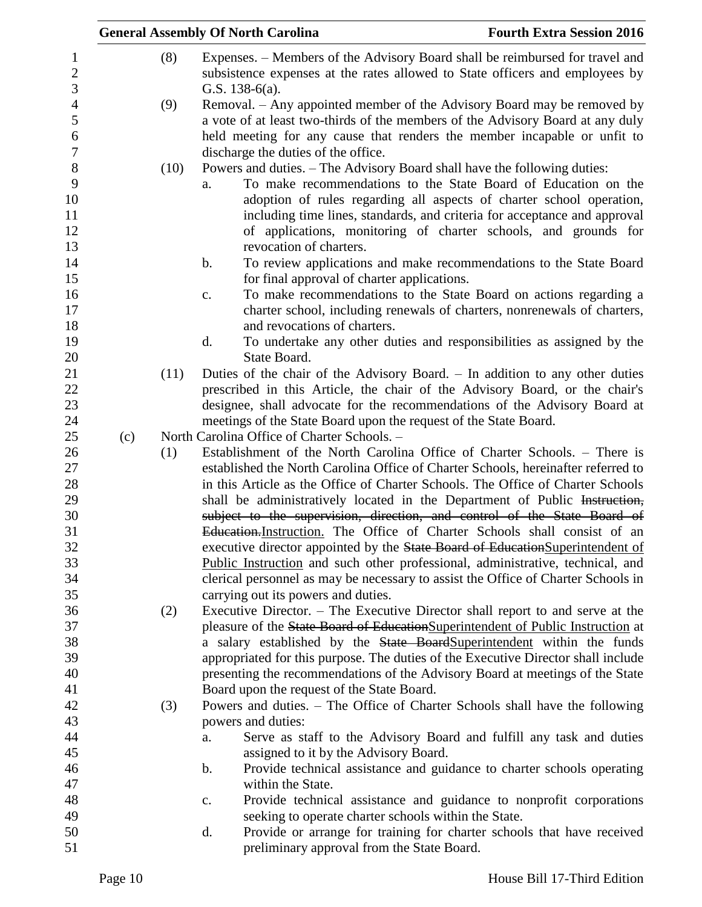|                                       |     |      | <b>General Assembly Of North Carolina</b>                                                                                                                                                                                                                                                                                                                                                           | <b>Fourth Extra Session 2016</b> |
|---------------------------------------|-----|------|-----------------------------------------------------------------------------------------------------------------------------------------------------------------------------------------------------------------------------------------------------------------------------------------------------------------------------------------------------------------------------------------------------|----------------------------------|
| $\mathbf{1}$<br>$\overline{2}$        |     | (8)  | Expenses. – Members of the Advisory Board shall be reimbursed for travel and<br>subsistence expenses at the rates allowed to State officers and employees by                                                                                                                                                                                                                                        |                                  |
| $\mathfrak{Z}$<br>$\overline{4}$<br>5 |     | (9)  | G.S. $138-6(a)$ .<br>Removal. – Any appointed member of the Advisory Board may be removed by<br>a vote of at least two-thirds of the members of the Advisory Board at any duly                                                                                                                                                                                                                      |                                  |
| 6<br>$\boldsymbol{7}$                 |     |      | held meeting for any cause that renders the member incapable or unfit to<br>discharge the duties of the office.                                                                                                                                                                                                                                                                                     |                                  |
| 8<br>9<br>10<br>11<br>12<br>13        |     | (10) | Powers and duties. – The Advisory Board shall have the following duties:<br>To make recommendations to the State Board of Education on the<br>a.<br>adoption of rules regarding all aspects of charter school operation,<br>including time lines, standards, and criteria for acceptance and approval<br>of applications, monitoring of charter schools, and grounds for<br>revocation of charters. |                                  |
| 14<br>15                              |     |      | To review applications and make recommendations to the State Board<br>$\mathbf b$ .<br>for final approval of charter applications.                                                                                                                                                                                                                                                                  |                                  |
| 16<br>17<br>18                        |     |      | To make recommendations to the State Board on actions regarding a<br>$C_{\bullet}$<br>charter school, including renewals of charters, nonrenewals of charters,<br>and revocations of charters.                                                                                                                                                                                                      |                                  |
| 19<br>20                              |     |      | To undertake any other duties and responsibilities as assigned by the<br>d.<br>State Board.                                                                                                                                                                                                                                                                                                         |                                  |
| 21<br>22<br>23                        |     | (11) | Duties of the chair of the Advisory Board. – In addition to any other duties<br>prescribed in this Article, the chair of the Advisory Board, or the chair's<br>designee, shall advocate for the recommendations of the Advisory Board at                                                                                                                                                            |                                  |
| 24<br>25                              | (c) |      | meetings of the State Board upon the request of the State Board.<br>North Carolina Office of Charter Schools. -                                                                                                                                                                                                                                                                                     |                                  |
| 26                                    |     | (1)  | Establishment of the North Carolina Office of Charter Schools. - There is                                                                                                                                                                                                                                                                                                                           |                                  |
| 27                                    |     |      | established the North Carolina Office of Charter Schools, hereinafter referred to                                                                                                                                                                                                                                                                                                                   |                                  |
| 28<br>29                              |     |      | in this Article as the Office of Charter Schools. The Office of Charter Schools<br>shall be administratively located in the Department of Public Instruction,                                                                                                                                                                                                                                       |                                  |
| 30                                    |     |      | subject to the supervision, direction, and control of the State Board of                                                                                                                                                                                                                                                                                                                            |                                  |
| 31                                    |     |      | Education. Instruction. The Office of Charter Schools shall consist of an                                                                                                                                                                                                                                                                                                                           |                                  |
| 32                                    |     |      | executive director appointed by the State Board of Education Superintendent of                                                                                                                                                                                                                                                                                                                      |                                  |
| 33<br>34                              |     |      | Public Instruction and such other professional, administrative, technical, and<br>clerical personnel as may be necessary to assist the Office of Charter Schools in                                                                                                                                                                                                                                 |                                  |
| 35                                    |     |      | carrying out its powers and duties.                                                                                                                                                                                                                                                                                                                                                                 |                                  |
| 36                                    |     | (2)  | Executive Director. – The Executive Director shall report to and serve at the                                                                                                                                                                                                                                                                                                                       |                                  |
| 37                                    |     |      | pleasure of the State Board of EducationSuperintendent of Public Instruction at                                                                                                                                                                                                                                                                                                                     |                                  |
| 38                                    |     |      | a salary established by the State BoardSuperintendent within the funds                                                                                                                                                                                                                                                                                                                              |                                  |
| 39                                    |     |      | appropriated for this purpose. The duties of the Executive Director shall include                                                                                                                                                                                                                                                                                                                   |                                  |
| 40                                    |     |      | presenting the recommendations of the Advisory Board at meetings of the State                                                                                                                                                                                                                                                                                                                       |                                  |
| 41                                    |     |      | Board upon the request of the State Board.                                                                                                                                                                                                                                                                                                                                                          |                                  |
| 42                                    |     | (3)  | Powers and duties. – The Office of Charter Schools shall have the following                                                                                                                                                                                                                                                                                                                         |                                  |
| 43                                    |     |      | powers and duties:                                                                                                                                                                                                                                                                                                                                                                                  |                                  |
| 44<br>45                              |     |      | Serve as staff to the Advisory Board and fulfill any task and duties<br>a.<br>assigned to it by the Advisory Board.                                                                                                                                                                                                                                                                                 |                                  |
| 46                                    |     |      | Provide technical assistance and guidance to charter schools operating<br>$\mathbf b$ .                                                                                                                                                                                                                                                                                                             |                                  |
| 47                                    |     |      | within the State.                                                                                                                                                                                                                                                                                                                                                                                   |                                  |
| 48                                    |     |      | Provide technical assistance and guidance to nonprofit corporations<br>c.                                                                                                                                                                                                                                                                                                                           |                                  |
| 49                                    |     |      | seeking to operate charter schools within the State.                                                                                                                                                                                                                                                                                                                                                |                                  |
| 50                                    |     |      | d.<br>Provide or arrange for training for charter schools that have received                                                                                                                                                                                                                                                                                                                        |                                  |
| 51                                    |     |      | preliminary approval from the State Board.                                                                                                                                                                                                                                                                                                                                                          |                                  |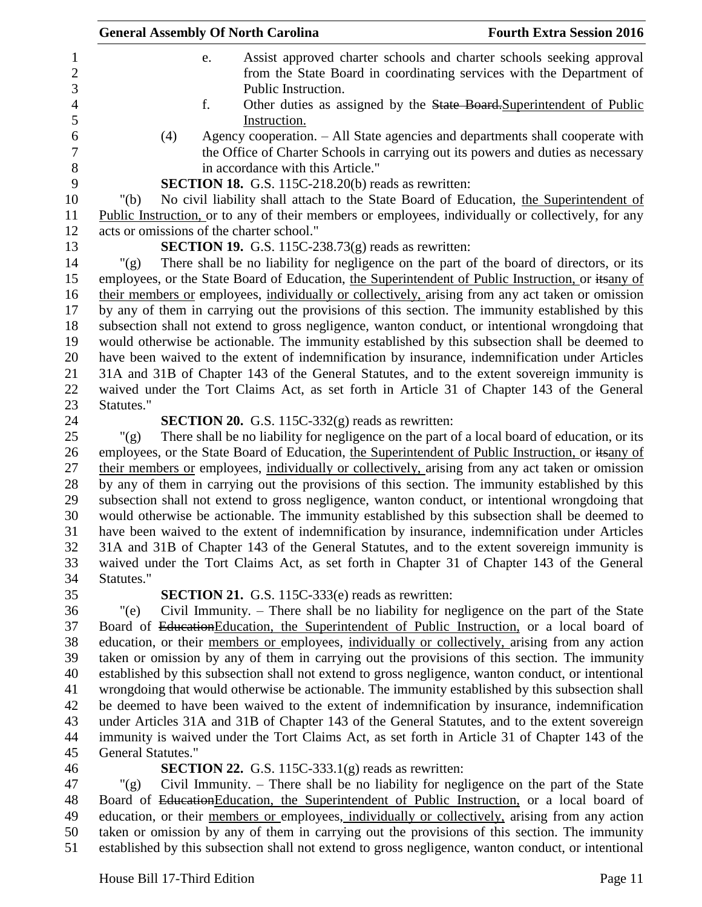| <b>General Assembly Of North Carolina</b> |                                                               | <b>Fourth Extra Session 2016</b>                                                                                                                                  |
|-------------------------------------------|---------------------------------------------------------------|-------------------------------------------------------------------------------------------------------------------------------------------------------------------|
| e.                                        | Public Instruction.                                           | Assist approved charter schools and charter schools seeking approval<br>from the State Board in coordinating services with the Department of                      |
| f.                                        | Instruction.                                                  | Other duties as assigned by the State Board Superintendent of Public                                                                                              |
| (4)                                       | in accordance with this Article."                             | Agency cooperation. - All State agencies and departments shall cooperate with<br>the Office of Charter Schools in carrying out its powers and duties as necessary |
|                                           | <b>SECTION 18.</b> G.S. 115C-218.20(b) reads as rewritten:    |                                                                                                                                                                   |
| " $(b)$                                   |                                                               | No civil liability shall attach to the State Board of Education, the Superintendent of                                                                            |
|                                           |                                                               | Public Instruction, or to any of their members or employees, individually or collectively, for any                                                                |
| acts or omissions of the charter school." |                                                               |                                                                                                                                                                   |
|                                           | <b>SECTION 19.</b> G.S. 115C-238.73 $(g)$ reads as rewritten: |                                                                                                                                                                   |
| " $(g)$ "                                 |                                                               | There shall be no liability for negligence on the part of the board of directors, or its                                                                          |
|                                           |                                                               | employees, or the State Board of Education, the Superintendent of Public Instruction, or itsany of                                                                |
|                                           |                                                               | their members or employees, individually or collectively, arising from any act taken or omission                                                                  |
|                                           |                                                               | by any of them in carrying out the provisions of this section. The immunity established by this                                                                   |
|                                           |                                                               | subsection shall not extend to gross negligence, wanton conduct, or intentional wrongdoing that                                                                   |
|                                           |                                                               | would otherwise be actionable. The immunity established by this subsection shall be deemed to                                                                     |
|                                           |                                                               | have been waived to the extent of indemnification by insurance, indemnification under Articles                                                                    |
|                                           |                                                               | 31A and 31B of Chapter 143 of the General Statutes, and to the extent sovereign immunity is                                                                       |
|                                           |                                                               | waived under the Tort Claims Act, as set forth in Article 31 of Chapter 143 of the General                                                                        |
| Statutes."                                |                                                               |                                                                                                                                                                   |
|                                           | SECTION 20. G.S. 115C-332(g) reads as rewritten:              |                                                                                                                                                                   |
| " $(g)$                                   |                                                               | There shall be no liability for negligence on the part of a local board of education, or its                                                                      |
|                                           |                                                               | employees, or the State Board of Education, the Superintendent of Public Instruction, or itsany of                                                                |
|                                           |                                                               | their members or employees, individually or collectively, arising from any act taken or omission                                                                  |
|                                           |                                                               | by any of them in carrying out the provisions of this section. The immunity established by this                                                                   |
|                                           |                                                               | subsection shall not extend to gross negligence, wanton conduct, or intentional wrongdoing that                                                                   |
|                                           |                                                               | would otherwise be actionable. The immunity established by this subsection shall be deemed to                                                                     |
|                                           |                                                               | have been waived to the extent of indemnification by insurance, indemnification under Articles                                                                    |
|                                           |                                                               | 31A and 31B of Chapter 143 of the General Statutes, and to the extent sovereign immunity is                                                                       |
|                                           |                                                               | waived under the Tort Claims Act, as set forth in Chapter 31 of Chapter 143 of the General                                                                        |
| Statutes."                                |                                                               |                                                                                                                                                                   |
|                                           | <b>SECTION 21.</b> G.S. 115C-333(e) reads as rewritten:       |                                                                                                                                                                   |
| "(e)                                      |                                                               | Civil Immunity. – There shall be no liability for negligence on the part of the State                                                                             |
|                                           |                                                               | Board of Education Education, the Superintendent of Public Instruction, or a local board of                                                                       |
|                                           |                                                               | education, or their members or employees, individually or collectively, arising from any action                                                                   |
|                                           |                                                               | taken or omission by any of them in carrying out the provisions of this section. The immunity                                                                     |
|                                           |                                                               | established by this subsection shall not extend to gross negligence, wanton conduct, or intentional                                                               |
|                                           |                                                               | wrongdoing that would otherwise be actionable. The immunity established by this subsection shall                                                                  |
|                                           |                                                               | be deemed to have been waived to the extent of indemnification by insurance, indemnification                                                                      |
|                                           |                                                               | under Articles 31A and 31B of Chapter 143 of the General Statutes, and to the extent sovereign                                                                    |
|                                           |                                                               | immunity is waived under the Tort Claims Act, as set forth in Article 31 of Chapter 143 of the                                                                    |
| <b>General Statutes."</b>                 |                                                               |                                                                                                                                                                   |
| " $(g)$                                   | <b>SECTION 22.</b> G.S. 115C-333.1 $(g)$ reads as rewritten:  | Civil Immunity. – There shall be no liability for negligence on the part of the State                                                                             |
|                                           |                                                               | Board of Education Education, the Superintendent of Public Instruction, or a local board of                                                                       |

48 Board of EducationEducation, the Superintendent of Public Instruction, or a local board of 49 education, or their members or employees, individually or collectively, arising from any action taken or omission by any of them in carrying out the provisions of this section. The immunity established by this subsection shall not extend to gross negligence, wanton conduct, or intentional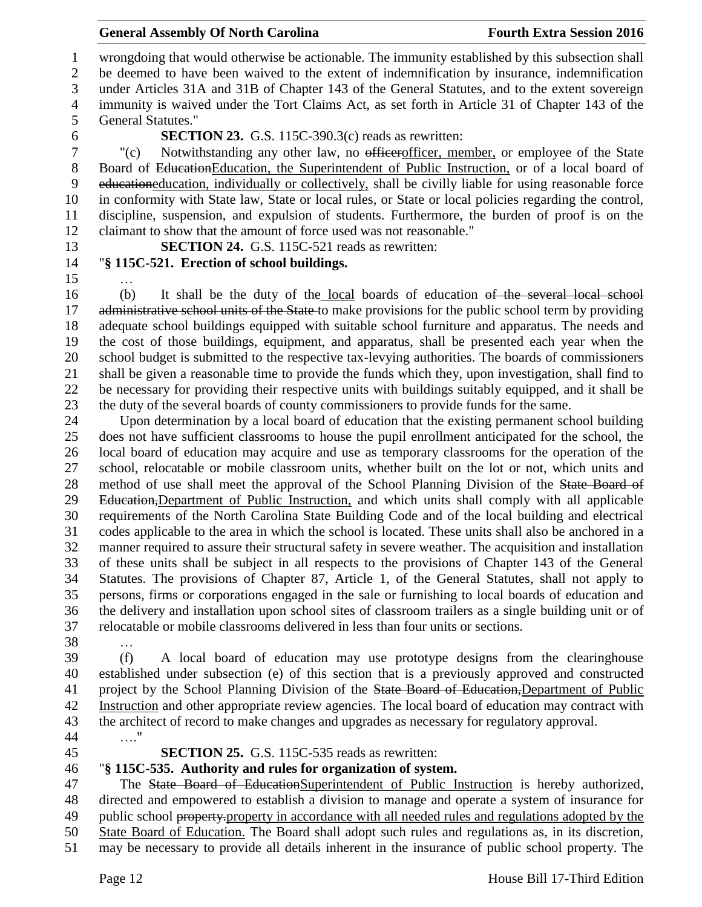# **General Assembly Of North Carolina Fourth Extra Session 2016**

 wrongdoing that would otherwise be actionable. The immunity established by this subsection shall be deemed to have been waived to the extent of indemnification by insurance, indemnification under Articles 31A and 31B of Chapter 143 of the General Statutes, and to the extent sovereign immunity is waived under the Tort Claims Act, as set forth in Article 31 of Chapter 143 of the General Statutes."

# **SECTION 23.** G.S. 115C-390.3(c) reads as rewritten:

 "(c) Notwithstanding any other law, no officerofficer, member, or employee of the State Board of EducationEducation, the Superintendent of Public Instruction, or of a local board of educationeducation, individually or collectively, shall be civilly liable for using reasonable force in conformity with State law, State or local rules, or State or local policies regarding the control, discipline, suspension, and expulsion of students. Furthermore, the burden of proof is on the claimant to show that the amount of force used was not reasonable."

**SECTION 24.** G.S. 115C-521 reads as rewritten:

# …

# "**§ 115C-521. Erection of school buildings.**

 (b) It shall be the duty of the local boards of education of the several local school 17 administrative school units of the State-to make provisions for the public school term by providing adequate school buildings equipped with suitable school furniture and apparatus. The needs and the cost of those buildings, equipment, and apparatus, shall be presented each year when the school budget is submitted to the respective tax-levying authorities. The boards of commissioners shall be given a reasonable time to provide the funds which they, upon investigation, shall find to be necessary for providing their respective units with buildings suitably equipped, and it shall be the duty of the several boards of county commissioners to provide funds for the same.

 Upon determination by a local board of education that the existing permanent school building does not have sufficient classrooms to house the pupil enrollment anticipated for the school, the local board of education may acquire and use as temporary classrooms for the operation of the school, relocatable or mobile classroom units, whether built on the lot or not, which units and 28 method of use shall meet the approval of the School Planning Division of the State Board of 29 Education, Department of Public Instruction, and which units shall comply with all applicable requirements of the North Carolina State Building Code and of the local building and electrical codes applicable to the area in which the school is located. These units shall also be anchored in a manner required to assure their structural safety in severe weather. The acquisition and installation of these units shall be subject in all respects to the provisions of Chapter 143 of the General Statutes. The provisions of Chapter 87, Article 1, of the General Statutes, shall not apply to persons, firms or corporations engaged in the sale or furnishing to local boards of education and the delivery and installation upon school sites of classroom trailers as a single building unit or of relocatable or mobile classrooms delivered in less than four units or sections.

…

 (f) A local board of education may use prototype designs from the clearinghouse established under subsection (e) of this section that is a previously approved and constructed 41 project by the School Planning Division of the State Board of Education, Department of Public Instruction and other appropriate review agencies. The local board of education may contract with the architect of record to make changes and upgrades as necessary for regulatory approval. …."

# **SECTION 25.** G.S. 115C-535 reads as rewritten:

# "**§ 115C-535. Authority and rules for organization of system.**

47 The State Board of EducationSuperintendent of Public Instruction is hereby authorized, directed and empowered to establish a division to manage and operate a system of insurance for 49 public school property-property in accordance with all needed rules and regulations adopted by the State Board of Education. The Board shall adopt such rules and regulations as, in its discretion, may be necessary to provide all details inherent in the insurance of public school property. The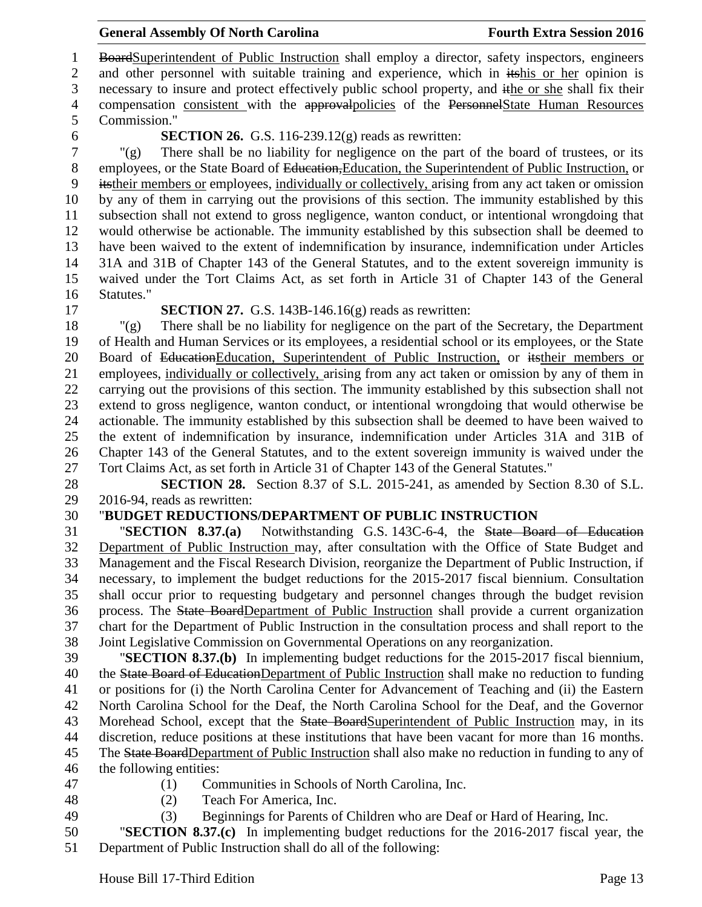# **General Assembly Of North Carolina Fourth Extra Session 2016**

1 BoardSuperintendent of Public Instruction shall employ a director, safety inspectors, engineers 2 and other personnel with suitable training and experience, which in itshis or her opinion is necessary to insure and protect effectively public school property, and ithe or she shall fix their 4 compensation consistent with the approval policies of the Personnel State Human Resources Commission."

### **SECTION 26.** G.S. 116-239.12(g) reads as rewritten:

 "(g) There shall be no liability for negligence on the part of the board of trustees, or its 8 employees, or the State Board of Education, Education, the Superintendent of Public Instruction, or itstheir members or employees, individually or collectively, arising from any act taken or omission by any of them in carrying out the provisions of this section. The immunity established by this subsection shall not extend to gross negligence, wanton conduct, or intentional wrongdoing that would otherwise be actionable. The immunity established by this subsection shall be deemed to have been waived to the extent of indemnification by insurance, indemnification under Articles 31A and 31B of Chapter 143 of the General Statutes, and to the extent sovereign immunity is waived under the Tort Claims Act, as set forth in Article 31 of Chapter 143 of the General Statutes."

### **SECTION 27.** G.S. 143B-146.16(g) reads as rewritten:

 "(g) There shall be no liability for negligence on the part of the Secretary, the Department of Health and Human Services or its employees, a residential school or its employees, or the State Board of EducationEducation, Superintendent of Public Instruction, or itstheir members or employees, individually or collectively, arising from any act taken or omission by any of them in carrying out the provisions of this section. The immunity established by this subsection shall not extend to gross negligence, wanton conduct, or intentional wrongdoing that would otherwise be actionable. The immunity established by this subsection shall be deemed to have been waived to the extent of indemnification by insurance, indemnification under Articles 31A and 31B of Chapter 143 of the General Statutes, and to the extent sovereign immunity is waived under the Tort Claims Act, as set forth in Article 31 of Chapter 143 of the General Statutes."

 **SECTION 28.** Section 8.37 of S.L. 2015-241, as amended by Section 8.30 of S.L. 2016-94, reads as rewritten:

# "**BUDGET REDUCTIONS/DEPARTMENT OF PUBLIC INSTRUCTION**

 "**SECTION 8.37.(a)** Notwithstanding G.S. 143C-6-4, the State Board of Education Department of Public Instruction may, after consultation with the Office of State Budget and Management and the Fiscal Research Division, reorganize the Department of Public Instruction, if necessary, to implement the budget reductions for the 2015-2017 fiscal biennium. Consultation shall occur prior to requesting budgetary and personnel changes through the budget revision process. The State BoardDepartment of Public Instruction shall provide a current organization chart for the Department of Public Instruction in the consultation process and shall report to the Joint Legislative Commission on Governmental Operations on any reorganization.

 "**SECTION 8.37.(b)** In implementing budget reductions for the 2015-2017 fiscal biennium, 40 the State Board of EducationDepartment of Public Instruction shall make no reduction to funding or positions for (i) the North Carolina Center for Advancement of Teaching and (ii) the Eastern North Carolina School for the Deaf, the North Carolina School for the Deaf, and the Governor 43 Morehead School, except that the State BoardSuperintendent of Public Instruction may, in its discretion, reduce positions at these institutions that have been vacant for more than 16 months. The State BoardDepartment of Public Instruction shall also make no reduction in funding to any of the following entities:

- 
- (1) Communities in Schools of North Carolina, Inc.
- 
- (2) Teach For America, Inc.
- (3) Beginnings for Parents of Children who are Deaf or Hard of Hearing, Inc.
- "**SECTION 8.37.(c)** In implementing budget reductions for the 2016-2017 fiscal year, the Department of Public Instruction shall do all of the following: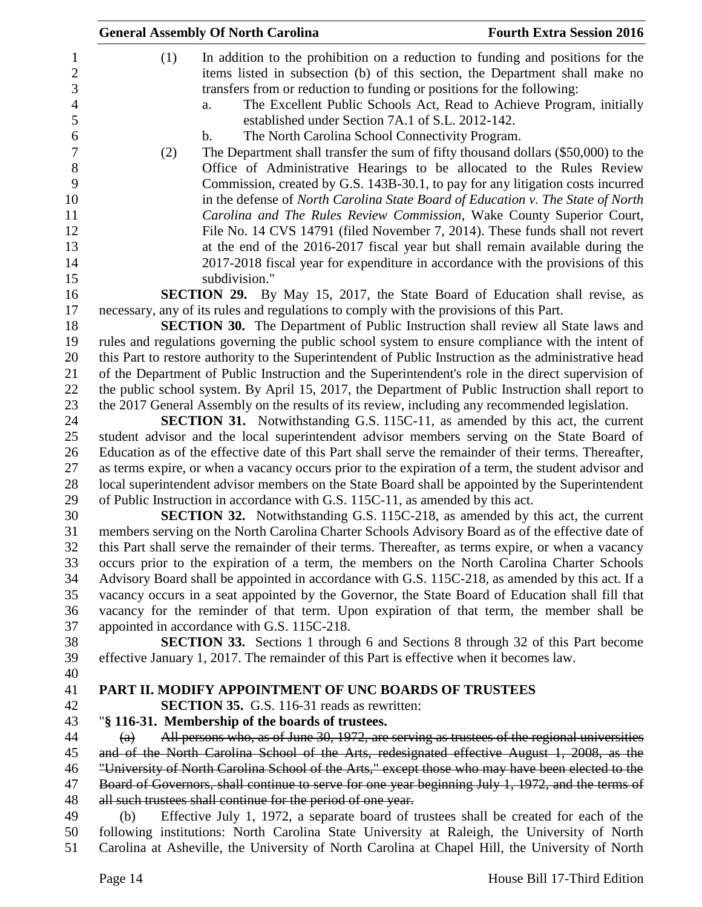|                                                                                                                                   | <b>General Assembly Of North Carolina</b>                                                                                                                                                                                                                                                                                                                                                                                                                                                                                                                                                                                                                                                                                                                                                                                                                                                                                                                                                                                                                                                                                                                                                                                                                                                                                                                                                                                                                                                                                                                                                                                                                                                                                                                                                                                                                                                                           | <b>Fourth Extra Session 2016</b> |
|-----------------------------------------------------------------------------------------------------------------------------------|---------------------------------------------------------------------------------------------------------------------------------------------------------------------------------------------------------------------------------------------------------------------------------------------------------------------------------------------------------------------------------------------------------------------------------------------------------------------------------------------------------------------------------------------------------------------------------------------------------------------------------------------------------------------------------------------------------------------------------------------------------------------------------------------------------------------------------------------------------------------------------------------------------------------------------------------------------------------------------------------------------------------------------------------------------------------------------------------------------------------------------------------------------------------------------------------------------------------------------------------------------------------------------------------------------------------------------------------------------------------------------------------------------------------------------------------------------------------------------------------------------------------------------------------------------------------------------------------------------------------------------------------------------------------------------------------------------------------------------------------------------------------------------------------------------------------------------------------------------------------------------------------------------------------|----------------------------------|
| $\mathbf{1}$<br>$\overline{2}$<br>3<br>$\overline{4}$<br>5<br>6<br>$\boldsymbol{7}$<br>8<br>9<br>10<br>11<br>12<br>13<br>14<br>15 | In addition to the prohibition on a reduction to funding and positions for the<br>(1)<br>items listed in subsection (b) of this section, the Department shall make no<br>transfers from or reduction to funding or positions for the following:<br>The Excellent Public Schools Act, Read to Achieve Program, initially<br>a.<br>established under Section 7A.1 of S.L. 2012-142.<br>The North Carolina School Connectivity Program.<br>$\mathbf b$ .<br>The Department shall transfer the sum of fifty thousand dollars (\$50,000) to the<br>(2)<br>Office of Administrative Hearings to be allocated to the Rules Review<br>Commission, created by G.S. 143B-30.1, to pay for any litigation costs incurred<br>in the defense of North Carolina State Board of Education v. The State of North<br>Carolina and The Rules Review Commission, Wake County Superior Court,<br>File No. 14 CVS 14791 (filed November 7, 2014). These funds shall not revert<br>at the end of the 2016-2017 fiscal year but shall remain available during the<br>2017-2018 fiscal year for expenditure in accordance with the provisions of this<br>subdivision."                                                                                                                                                                                                                                                                                                                                                                                                                                                                                                                                                                                                                                                                                                                                                                      |                                  |
| 16                                                                                                                                | <b>SECTION 29.</b> By May 15, 2017, the State Board of Education shall revise, as                                                                                                                                                                                                                                                                                                                                                                                                                                                                                                                                                                                                                                                                                                                                                                                                                                                                                                                                                                                                                                                                                                                                                                                                                                                                                                                                                                                                                                                                                                                                                                                                                                                                                                                                                                                                                                   |                                  |
| 17<br>18<br>19<br>20<br>21<br>22<br>23<br>24<br>25<br>26<br>27<br>28<br>29<br>30<br>31<br>32<br>33<br>34<br>35                    | necessary, any of its rules and regulations to comply with the provisions of this Part.<br><b>SECTION 30.</b> The Department of Public Instruction shall review all State laws and<br>rules and regulations governing the public school system to ensure compliance with the intent of<br>this Part to restore authority to the Superintendent of Public Instruction as the administrative head<br>of the Department of Public Instruction and the Superintendent's role in the direct supervision of<br>the public school system. By April 15, 2017, the Department of Public Instruction shall report to<br>the 2017 General Assembly on the results of its review, including any recommended legislation.<br><b>SECTION 31.</b> Notwithstanding G.S. 115C-11, as amended by this act, the current<br>student advisor and the local superintendent advisor members serving on the State Board of<br>Education as of the effective date of this Part shall serve the remainder of their terms. Thereafter,<br>as terms expire, or when a vacancy occurs prior to the expiration of a term, the student advisor and<br>local superintendent advisor members on the State Board shall be appointed by the Superintendent<br>of Public Instruction in accordance with G.S. 115C-11, as amended by this act.<br><b>SECTION 32.</b> Notwithstanding G.S. 115C-218, as amended by this act, the current<br>members serving on the North Carolina Charter Schools Advisory Board as of the effective date of<br>this Part shall serve the remainder of their terms. Thereafter, as terms expire, or when a vacancy<br>occurs prior to the expiration of a term, the members on the North Carolina Charter Schools<br>Advisory Board shall be appointed in accordance with G.S. 115C-218, as amended by this act. If a<br>vacancy occurs in a seat appointed by the Governor, the State Board of Education shall fill that |                                  |
| 36                                                                                                                                | vacancy for the reminder of that term. Upon expiration of that term, the member shall be                                                                                                                                                                                                                                                                                                                                                                                                                                                                                                                                                                                                                                                                                                                                                                                                                                                                                                                                                                                                                                                                                                                                                                                                                                                                                                                                                                                                                                                                                                                                                                                                                                                                                                                                                                                                                            |                                  |
| 37                                                                                                                                | appointed in accordance with G.S. 115C-218.                                                                                                                                                                                                                                                                                                                                                                                                                                                                                                                                                                                                                                                                                                                                                                                                                                                                                                                                                                                                                                                                                                                                                                                                                                                                                                                                                                                                                                                                                                                                                                                                                                                                                                                                                                                                                                                                         |                                  |
| 38<br>39<br>40                                                                                                                    | <b>SECTION 33.</b> Sections 1 through 6 and Sections 8 through 32 of this Part become<br>effective January 1, 2017. The remainder of this Part is effective when it becomes law.                                                                                                                                                                                                                                                                                                                                                                                                                                                                                                                                                                                                                                                                                                                                                                                                                                                                                                                                                                                                                                                                                                                                                                                                                                                                                                                                                                                                                                                                                                                                                                                                                                                                                                                                    |                                  |
| 41                                                                                                                                | <b>PART II. MODIFY APPOINTMENT OF UNC BOARDS OF TRUSTEES</b>                                                                                                                                                                                                                                                                                                                                                                                                                                                                                                                                                                                                                                                                                                                                                                                                                                                                                                                                                                                                                                                                                                                                                                                                                                                                                                                                                                                                                                                                                                                                                                                                                                                                                                                                                                                                                                                        |                                  |
| 42                                                                                                                                | <b>SECTION 35.</b> G.S. 116-31 reads as rewritten:                                                                                                                                                                                                                                                                                                                                                                                                                                                                                                                                                                                                                                                                                                                                                                                                                                                                                                                                                                                                                                                                                                                                                                                                                                                                                                                                                                                                                                                                                                                                                                                                                                                                                                                                                                                                                                                                  |                                  |
| 43                                                                                                                                | "§ 116-31. Membership of the boards of trustees.                                                                                                                                                                                                                                                                                                                                                                                                                                                                                                                                                                                                                                                                                                                                                                                                                                                                                                                                                                                                                                                                                                                                                                                                                                                                                                                                                                                                                                                                                                                                                                                                                                                                                                                                                                                                                                                                    |                                  |
| 44                                                                                                                                | All persons who, as of June 30, 1972, are serving as trustees of the regional universities<br>(a)                                                                                                                                                                                                                                                                                                                                                                                                                                                                                                                                                                                                                                                                                                                                                                                                                                                                                                                                                                                                                                                                                                                                                                                                                                                                                                                                                                                                                                                                                                                                                                                                                                                                                                                                                                                                                   |                                  |
| 45                                                                                                                                | and of the North Carolina School of the Arts, redesignated effective August 1, 2008, as the                                                                                                                                                                                                                                                                                                                                                                                                                                                                                                                                                                                                                                                                                                                                                                                                                                                                                                                                                                                                                                                                                                                                                                                                                                                                                                                                                                                                                                                                                                                                                                                                                                                                                                                                                                                                                         |                                  |
| 46<br>47                                                                                                                          | "University of North Carolina School of the Arts," except those who may have been elected to the<br>Board of Governors, shall continue to serve for one year beginning July 1, 1972, and the terms of                                                                                                                                                                                                                                                                                                                                                                                                                                                                                                                                                                                                                                                                                                                                                                                                                                                                                                                                                                                                                                                                                                                                                                                                                                                                                                                                                                                                                                                                                                                                                                                                                                                                                                               |                                  |
| 48                                                                                                                                | all such trustees shall continue for the period of one year.                                                                                                                                                                                                                                                                                                                                                                                                                                                                                                                                                                                                                                                                                                                                                                                                                                                                                                                                                                                                                                                                                                                                                                                                                                                                                                                                                                                                                                                                                                                                                                                                                                                                                                                                                                                                                                                        |                                  |
| 49                                                                                                                                | Effective July 1, 1972, a separate board of trustees shall be created for each of the<br>(b)                                                                                                                                                                                                                                                                                                                                                                                                                                                                                                                                                                                                                                                                                                                                                                                                                                                                                                                                                                                                                                                                                                                                                                                                                                                                                                                                                                                                                                                                                                                                                                                                                                                                                                                                                                                                                        |                                  |
| 50<br>51                                                                                                                          | following institutions: North Carolina State University at Raleigh, the University of North<br>Carolina at Asheville, the University of North Carolina at Chapel Hill, the University of North                                                                                                                                                                                                                                                                                                                                                                                                                                                                                                                                                                                                                                                                                                                                                                                                                                                                                                                                                                                                                                                                                                                                                                                                                                                                                                                                                                                                                                                                                                                                                                                                                                                                                                                      |                                  |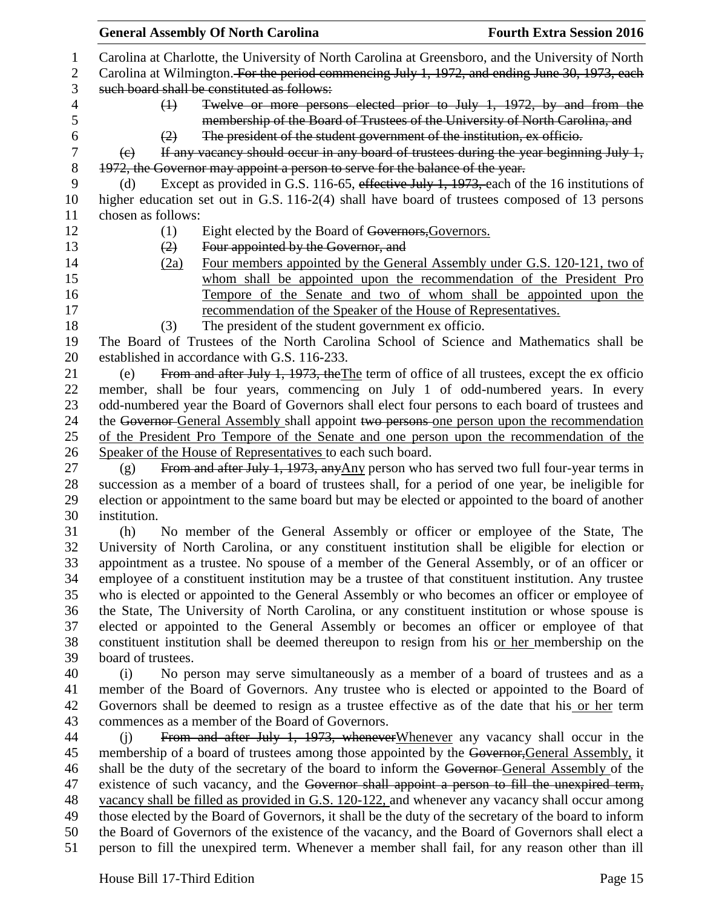|                | <b>General Assembly Of North Carolina</b>                                                                                                                                               | <b>Fourth Extra Session 2016</b> |
|----------------|-----------------------------------------------------------------------------------------------------------------------------------------------------------------------------------------|----------------------------------|
| 1              | Carolina at Charlotte, the University of North Carolina at Greensboro, and the University of North                                                                                      |                                  |
| $\overline{c}$ | Carolina at Wilmington. For the period commencing July 1, 1972, and ending June 30, 1973, each                                                                                          |                                  |
| 3              | such board shall be constituted as follows:                                                                                                                                             |                                  |
| 4              | Twelve or more persons elected prior to July 1, 1972, by and from the<br>$\leftrightarrow$                                                                                              |                                  |
| 5              | membership of the Board of Trustees of the University of North Carolina, and                                                                                                            |                                  |
| 6              | The president of the student government of the institution, ex officio.<br>(2)                                                                                                          |                                  |
| 7              | If any vacancy should occur in any board of trustees during the year beginning July 1,<br>(e)                                                                                           |                                  |
| 8              | 1972, the Governor may appoint a person to serve for the balance of the year.                                                                                                           |                                  |
| 9              | Except as provided in G.S. 116-65, effective July 1, 1973, each of the 16 institutions of<br>(d)                                                                                        |                                  |
| 10             | higher education set out in G.S. 116-2(4) shall have board of trustees composed of 13 persons                                                                                           |                                  |
| 11             | chosen as follows:                                                                                                                                                                      |                                  |
| 12             | (1)<br>Eight elected by the Board of Governors, Governors.                                                                                                                              |                                  |
| 13             | Four appointed by the Governor, and<br>(2)                                                                                                                                              |                                  |
| 14             | Four members appointed by the General Assembly under G.S. 120-121, two of<br>(2a)                                                                                                       |                                  |
| 15             | whom shall be appointed upon the recommendation of the President Pro                                                                                                                    |                                  |
| 16             | Tempore of the Senate and two of whom shall be appointed upon the                                                                                                                       |                                  |
| 17             | recommendation of the Speaker of the House of Representatives.                                                                                                                          |                                  |
| 18             | The president of the student government ex officio.<br>(3)                                                                                                                              |                                  |
| 19             | The Board of Trustees of the North Carolina School of Science and Mathematics shall be                                                                                                  |                                  |
| 20             | established in accordance with G.S. 116-233.                                                                                                                                            |                                  |
| 21             | From and after July 1, 1973, the The term of office of all trustees, except the ex officio<br>(e)                                                                                       |                                  |
| 22             | member, shall be four years, commencing on July 1 of odd-numbered years. In every                                                                                                       |                                  |
| 23             | odd-numbered year the Board of Governors shall elect four persons to each board of trustees and                                                                                         |                                  |
| 24             | the Governor General Assembly shall appoint two persons one person upon the recommendation                                                                                              |                                  |
| 25             | of the President Pro Tempore of the Senate and one person upon the recommendation of the                                                                                                |                                  |
| 26             | Speaker of the House of Representatives to each such board.                                                                                                                             |                                  |
| 27             | From and after July 1, 1973, any $\Delta ny$ person who has served two full four-year terms in<br>(g)                                                                                   |                                  |
| 28             | succession as a member of a board of trustees shall, for a period of one year, be ineligible for                                                                                        |                                  |
| 29             | election or appointment to the same board but may be elected or appointed to the board of another                                                                                       |                                  |
| 30             | institution.                                                                                                                                                                            |                                  |
| 31             | No member of the General Assembly or officer or employee of the State, The<br>(h)                                                                                                       |                                  |
| 32             | University of North Carolina, or any constituent institution shall be eligible for election or                                                                                          |                                  |
| 33             | appointment as a trustee. No spouse of a member of the General Assembly, or of an officer or                                                                                            |                                  |
| 34             | employee of a constituent institution may be a trustee of that constituent institution. Any trustee                                                                                     |                                  |
| 35             | who is elected or appointed to the General Assembly or who becomes an officer or employee of                                                                                            |                                  |
| 36             | the State, The University of North Carolina, or any constituent institution or whose spouse is                                                                                          |                                  |
| 37<br>38       | elected or appointed to the General Assembly or becomes an officer or employee of that<br>constituent institution shall be deemed thereupon to resign from his or her membership on the |                                  |
| 39             | board of trustees.                                                                                                                                                                      |                                  |
| 40             | No person may serve simultaneously as a member of a board of trustees and as a<br>(i)                                                                                                   |                                  |
| 41             | member of the Board of Governors. Any trustee who is elected or appointed to the Board of                                                                                               |                                  |
| 42             | Governors shall be deemed to resign as a trustee effective as of the date that his or her term                                                                                          |                                  |
| 43             | commences as a member of the Board of Governors.                                                                                                                                        |                                  |
| 44             | From and after July 1, 1973, whenever Whenever any vacancy shall occur in the<br>(i)                                                                                                    |                                  |
| 45             | membership of a board of trustees among those appointed by the Governor, General Assembly, it                                                                                           |                                  |
| 46             | shall be the duty of the secretary of the board to inform the Governor-General Assembly of the                                                                                          |                                  |
| 47             | existence of such vacancy, and the Governor shall appoint a person to fill the unexpired term,                                                                                          |                                  |
| 48             | vacancy shall be filled as provided in G.S. 120-122, and whenever any vacancy shall occur among                                                                                         |                                  |
| 49             | those elected by the Board of Governors, it shall be the duty of the secretary of the board to inform                                                                                   |                                  |
| 50             | the Board of Governors of the existence of the vacancy, and the Board of Governors shall elect a                                                                                        |                                  |
| 51             | person to fill the unexpired term. Whenever a member shall fail, for any reason other than ill                                                                                          |                                  |
|                |                                                                                                                                                                                         |                                  |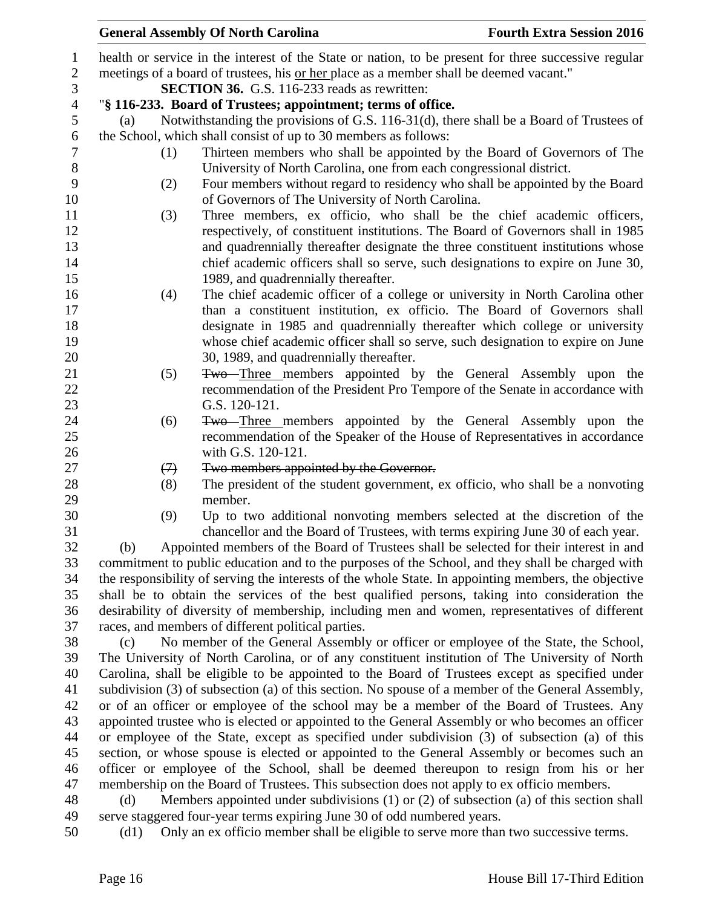|                        |                                                                                                 |                                                                                                      | <b>General Assembly Of North Carolina</b>                                                                                                       | <b>Fourth Extra Session 2016</b> |  |  |
|------------------------|-------------------------------------------------------------------------------------------------|------------------------------------------------------------------------------------------------------|-------------------------------------------------------------------------------------------------------------------------------------------------|----------------------------------|--|--|
| $\mathbf{1}$           |                                                                                                 |                                                                                                      | health or service in the interest of the State or nation, to be present for three successive regular                                            |                                  |  |  |
| $\overline{2}$         |                                                                                                 |                                                                                                      | meetings of a board of trustees, his or her place as a member shall be deemed vacant."                                                          |                                  |  |  |
| 3                      |                                                                                                 |                                                                                                      | <b>SECTION 36.</b> G.S. 116-233 reads as rewritten:                                                                                             |                                  |  |  |
| $\overline{4}$         |                                                                                                 |                                                                                                      | "§ 116-233. Board of Trustees; appointment; terms of office.                                                                                    |                                  |  |  |
| 5                      | (a)                                                                                             |                                                                                                      | Notwithstanding the provisions of G.S. 116-31(d), there shall be a Board of Trustees of                                                         |                                  |  |  |
| 6                      |                                                                                                 |                                                                                                      | the School, which shall consist of up to 30 members as follows:                                                                                 |                                  |  |  |
| $\tau$<br>$8\,$        |                                                                                                 | (1)                                                                                                  | Thirteen members who shall be appointed by the Board of Governors of The<br>University of North Carolina, one from each congressional district. |                                  |  |  |
| $\boldsymbol{9}$<br>10 |                                                                                                 | (2)                                                                                                  | Four members without regard to residency who shall be appointed by the Board<br>of Governors of The University of North Carolina.               |                                  |  |  |
| 11                     |                                                                                                 | (3)                                                                                                  | Three members, ex officio, who shall be the chief academic officers,                                                                            |                                  |  |  |
| 12                     |                                                                                                 |                                                                                                      | respectively, of constituent institutions. The Board of Governors shall in 1985                                                                 |                                  |  |  |
| 13                     |                                                                                                 |                                                                                                      | and quadrennially thereafter designate the three constituent institutions whose                                                                 |                                  |  |  |
| 14                     |                                                                                                 |                                                                                                      | chief academic officers shall so serve, such designations to expire on June 30,                                                                 |                                  |  |  |
|                        |                                                                                                 |                                                                                                      | 1989, and quadrennially thereafter.                                                                                                             |                                  |  |  |
|                        |                                                                                                 | (4)                                                                                                  | The chief academic officer of a college or university in North Carolina other                                                                   |                                  |  |  |
|                        |                                                                                                 |                                                                                                      | than a constituent institution, ex officio. The Board of Governors shall                                                                        |                                  |  |  |
|                        |                                                                                                 |                                                                                                      | designate in 1985 and quadrennially thereafter which college or university                                                                      |                                  |  |  |
|                        |                                                                                                 |                                                                                                      | whose chief academic officer shall so serve, such designation to expire on June                                                                 |                                  |  |  |
|                        |                                                                                                 |                                                                                                      | 30, 1989, and quadrennially thereafter.                                                                                                         |                                  |  |  |
|                        |                                                                                                 | (5)                                                                                                  | Two—Three members appointed by the General Assembly upon the                                                                                    |                                  |  |  |
|                        |                                                                                                 |                                                                                                      | recommendation of the President Pro Tempore of the Senate in accordance with                                                                    |                                  |  |  |
|                        |                                                                                                 |                                                                                                      | G.S. 120-121.                                                                                                                                   |                                  |  |  |
|                        |                                                                                                 | (6)                                                                                                  | <b>Two</b> -Three members appointed by the General Assembly upon the                                                                            |                                  |  |  |
|                        |                                                                                                 |                                                                                                      | recommendation of the Speaker of the House of Representatives in accordance                                                                     |                                  |  |  |
|                        |                                                                                                 |                                                                                                      | with G.S. 120-121.                                                                                                                              |                                  |  |  |
|                        |                                                                                                 | $\leftrightarrow$                                                                                    | Two members appointed by the Governor.                                                                                                          |                                  |  |  |
|                        |                                                                                                 | (8)                                                                                                  | The president of the student government, ex officio, who shall be a nonvoting<br>member.                                                        |                                  |  |  |
|                        |                                                                                                 | (9)                                                                                                  | Up to two additional nonvoting members selected at the discretion of the                                                                        |                                  |  |  |
|                        |                                                                                                 |                                                                                                      | chancellor and the Board of Trustees, with terms expiring June 30 of each year.                                                                 |                                  |  |  |
|                        | (b)                                                                                             |                                                                                                      | Appointed members of the Board of Trustees shall be selected for their interest in and                                                          |                                  |  |  |
|                        |                                                                                                 | commitment to public education and to the purposes of the School, and they shall be charged with     |                                                                                                                                                 |                                  |  |  |
|                        |                                                                                                 | the responsibility of serving the interests of the whole State. In appointing members, the objective |                                                                                                                                                 |                                  |  |  |
|                        | shall be to obtain the services of the best qualified persons, taking into consideration the    |                                                                                                      |                                                                                                                                                 |                                  |  |  |
|                        | desirability of diversity of membership, including men and women, representatives of different  |                                                                                                      |                                                                                                                                                 |                                  |  |  |
|                        | races, and members of different political parties.                                              |                                                                                                      |                                                                                                                                                 |                                  |  |  |
|                        | No member of the General Assembly or officer or employee of the State, the School,<br>(c)       |                                                                                                      |                                                                                                                                                 |                                  |  |  |
|                        | The University of North Carolina, or of any constituent institution of The University of North  |                                                                                                      |                                                                                                                                                 |                                  |  |  |
|                        | Carolina, shall be eligible to be appointed to the Board of Trustees except as specified under  |                                                                                                      |                                                                                                                                                 |                                  |  |  |
|                        |                                                                                                 | subdivision (3) of subsection (a) of this section. No spouse of a member of the General Assembly,    |                                                                                                                                                 |                                  |  |  |
|                        |                                                                                                 | or of an officer or employee of the school may be a member of the Board of Trustees. Any             |                                                                                                                                                 |                                  |  |  |
|                        | appointed trustee who is elected or appointed to the General Assembly or who becomes an officer |                                                                                                      |                                                                                                                                                 |                                  |  |  |

 or employee of the State, except as specified under subdivision (3) of subsection (a) of this section, or whose spouse is elected or appointed to the General Assembly or becomes such an officer or employee of the School, shall be deemed thereupon to resign from his or her membership on the Board of Trustees. This subsection does not apply to ex officio members.

 (d) Members appointed under subdivisions (1) or (2) of subsection (a) of this section shall serve staggered four-year terms expiring June 30 of odd numbered years.

(d1) Only an ex officio member shall be eligible to serve more than two successive terms.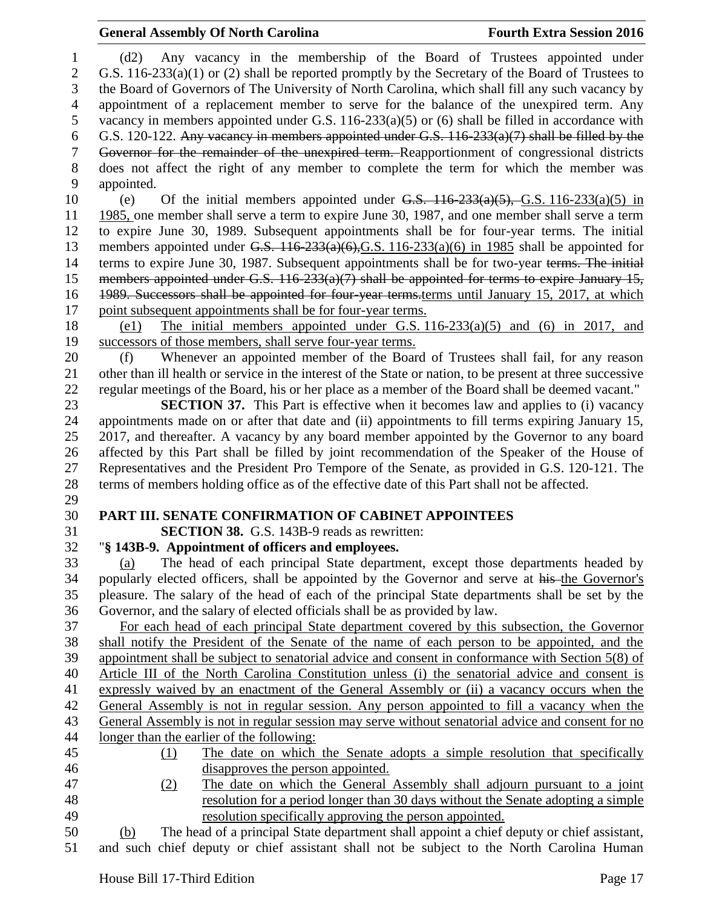### **General Assembly Of North Carolina Fourth Extra Session 2016**

 (d2) Any vacancy in the membership of the Board of Trustees appointed under 2 G.S. 116-233(a)(1) or (2) shall be reported promptly by the Secretary of the Board of Trustees to the Board of Governors of The University of North Carolina, which shall fill any such vacancy by appointment of a replacement member to serve for the balance of the unexpired term. Any vacancy in members appointed under G.S. 116-233(a)(5) or (6) shall be filled in accordance with G.S. 120-122. Any vacancy in members appointed under G.S. 116-233(a)(7) shall be filled by the Governor for the remainder of the unexpired term. Reapportionment of congressional districts does not affect the right of any member to complete the term for which the member was appointed. 10 (e) Of the initial members appointed under  $G.S.$  116-233(a)(5), G.S. 116-233(a)(5) in 1985, one member shall serve a term to expire June 30, 1987, and one member shall serve a term to expire June 30, 1989. Subsequent appointments shall be for four-year terms. The initial 13 members appointed under G.S.  $116-233(a)(6)$ , G.S.  $116-233(a)(6)$  in 1985 shall be appointed for 14 terms to expire June 30, 1987. Subsequent appointments shall be for two-year terms. The initial 15 members appointed under G.S. 116-233(a)(7) shall be appointed for terms to expire January 15, 1989. Successors shall be appointed for four-year terms.terms until January 15, 2017, at which point subsequent appointments shall be for four-year terms. (e1) The initial members appointed under G.S. 116-233(a)(5) and (6) in 2017, and successors of those members, shall serve four-year terms. (f) Whenever an appointed member of the Board of Trustees shall fail, for any reason other than ill health or service in the interest of the State or nation, to be present at three successive regular meetings of the Board, his or her place as a member of the Board shall be deemed vacant." **SECTION 37.** This Part is effective when it becomes law and applies to (i) vacancy appointments made on or after that date and (ii) appointments to fill terms expiring January 15, 2017, and thereafter. A vacancy by any board member appointed by the Governor to any board affected by this Part shall be filled by joint recommendation of the Speaker of the House of Representatives and the President Pro Tempore of the Senate, as provided in G.S. 120-121. The terms of members holding office as of the effective date of this Part shall not be affected. **PART III. SENATE CONFIRMATION OF CABINET APPOINTEES SECTION 38.** G.S. 143B-9 reads as rewritten: "**§ 143B-9. Appointment of officers and employees.** (a) The head of each principal State department, except those departments headed by popularly elected officers, shall be appointed by the Governor and serve at his the Governor's pleasure. The salary of the head of each of the principal State departments shall be set by the Governor, and the salary of elected officials shall be as provided by law. For each head of each principal State department covered by this subsection, the Governor shall notify the President of the Senate of the name of each person to be appointed, and the appointment shall be subject to senatorial advice and consent in conformance with Section 5(8) of Article III of the North Carolina Constitution unless (i) the senatorial advice and consent is expressly waived by an enactment of the General Assembly or (ii) a vacancy occurs when the General Assembly is not in regular session. Any person appointed to fill a vacancy when the General Assembly is not in regular session may serve without senatorial advice and consent for no longer than the earlier of the following: (1) The date on which the Senate adopts a simple resolution that specifically disapproves the person appointed. (2) The date on which the General Assembly shall adjourn pursuant to a joint resolution for a period longer than 30 days without the Senate adopting a simple resolution specifically approving the person appointed. (b) The head of a principal State department shall appoint a chief deputy or chief assistant,

and such chief deputy or chief assistant shall not be subject to the North Carolina Human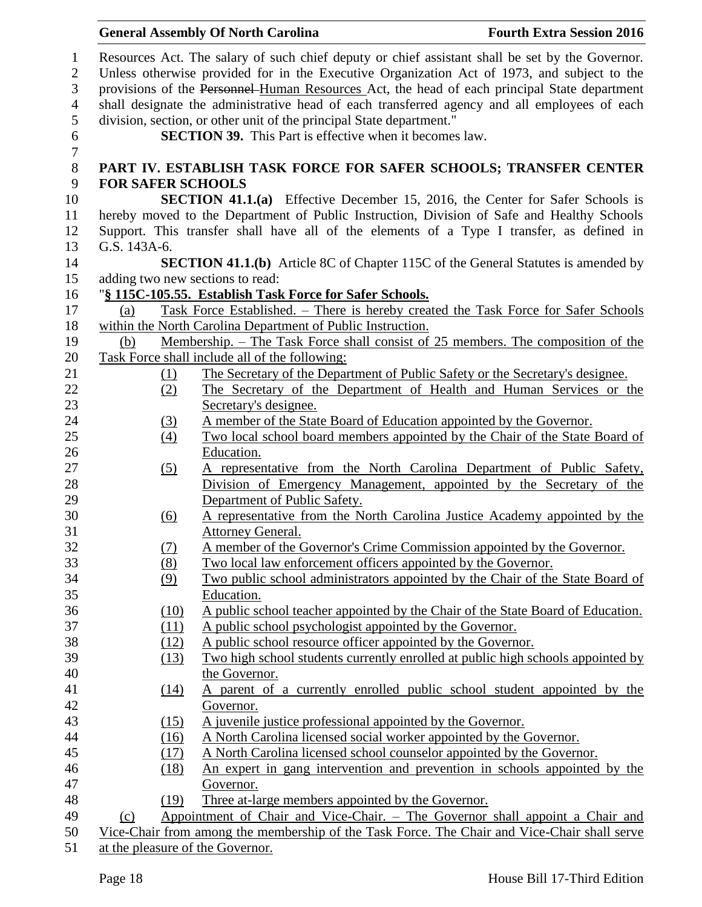|                                                                            |                                                                                                                                                                                                                                                                                                                                                                                                                                                                                                                                          |                                                                                              | <b>General Assembly Of North Carolina</b>                                                        | <b>Fourth Extra Session 2016</b> |  |  |
|----------------------------------------------------------------------------|------------------------------------------------------------------------------------------------------------------------------------------------------------------------------------------------------------------------------------------------------------------------------------------------------------------------------------------------------------------------------------------------------------------------------------------------------------------------------------------------------------------------------------------|----------------------------------------------------------------------------------------------|--------------------------------------------------------------------------------------------------|----------------------------------|--|--|
| $\mathbf{1}$<br>$\mathbf{2}$<br>$\mathfrak{Z}$<br>$\overline{4}$<br>5<br>6 | Resources Act. The salary of such chief deputy or chief assistant shall be set by the Governor.<br>Unless otherwise provided for in the Executive Organization Act of 1973, and subject to the<br>provisions of the Personnel-Human Resources Act, the head of each principal State department<br>shall designate the administrative head of each transferred agency and all employees of each<br>division, section, or other unit of the principal State department."<br><b>SECTION 39.</b> This Part is effective when it becomes law. |                                                                                              |                                                                                                  |                                  |  |  |
| $\overline{7}$<br>$8\,$                                                    |                                                                                                                                                                                                                                                                                                                                                                                                                                                                                                                                          |                                                                                              | PART IV. ESTABLISH TASK FORCE FOR SAFER SCHOOLS; TRANSFER CENTER                                 |                                  |  |  |
| 9                                                                          | <b>FOR SAFER SCHOOLS</b>                                                                                                                                                                                                                                                                                                                                                                                                                                                                                                                 |                                                                                              |                                                                                                  |                                  |  |  |
| 10                                                                         |                                                                                                                                                                                                                                                                                                                                                                                                                                                                                                                                          |                                                                                              | <b>SECTION 41.1.(a)</b> Effective December 15, 2016, the Center for Safer Schools is             |                                  |  |  |
| 11                                                                         |                                                                                                                                                                                                                                                                                                                                                                                                                                                                                                                                          |                                                                                              | hereby moved to the Department of Public Instruction, Division of Safe and Healthy Schools       |                                  |  |  |
| 12                                                                         |                                                                                                                                                                                                                                                                                                                                                                                                                                                                                                                                          |                                                                                              | Support. This transfer shall have all of the elements of a Type I transfer, as defined in        |                                  |  |  |
| 13                                                                         | G.S. 143A-6.                                                                                                                                                                                                                                                                                                                                                                                                                                                                                                                             |                                                                                              |                                                                                                  |                                  |  |  |
| 14                                                                         |                                                                                                                                                                                                                                                                                                                                                                                                                                                                                                                                          |                                                                                              | <b>SECTION 41.1.(b)</b> Article 8C of Chapter 115C of the General Statutes is amended by         |                                  |  |  |
| 15                                                                         |                                                                                                                                                                                                                                                                                                                                                                                                                                                                                                                                          |                                                                                              | adding two new sections to read:                                                                 |                                  |  |  |
| 16                                                                         |                                                                                                                                                                                                                                                                                                                                                                                                                                                                                                                                          |                                                                                              | "§ 115C-105.55. Establish Task Force for Safer Schools.                                          |                                  |  |  |
| 17                                                                         | (a)                                                                                                                                                                                                                                                                                                                                                                                                                                                                                                                                      |                                                                                              | Task Force Established. - There is hereby created the Task Force for Safer Schools               |                                  |  |  |
| 18                                                                         |                                                                                                                                                                                                                                                                                                                                                                                                                                                                                                                                          |                                                                                              | within the North Carolina Department of Public Instruction.                                      |                                  |  |  |
| 19                                                                         | (b)                                                                                                                                                                                                                                                                                                                                                                                                                                                                                                                                      |                                                                                              | <u>Membership. – The Task Force shall consist of 25 members. The composition of the</u>          |                                  |  |  |
| 20                                                                         |                                                                                                                                                                                                                                                                                                                                                                                                                                                                                                                                          |                                                                                              | Task Force shall include all of the following:                                                   |                                  |  |  |
| 21                                                                         |                                                                                                                                                                                                                                                                                                                                                                                                                                                                                                                                          | (1)                                                                                          | The Secretary of the Department of Public Safety or the Secretary's designee.                    |                                  |  |  |
| 22                                                                         |                                                                                                                                                                                                                                                                                                                                                                                                                                                                                                                                          | (2)                                                                                          | The Secretary of the Department of Health and Human Services or the                              |                                  |  |  |
| 23                                                                         |                                                                                                                                                                                                                                                                                                                                                                                                                                                                                                                                          |                                                                                              | Secretary's designee.                                                                            |                                  |  |  |
| 24                                                                         |                                                                                                                                                                                                                                                                                                                                                                                                                                                                                                                                          | (3)                                                                                          | A member of the State Board of Education appointed by the Governor.                              |                                  |  |  |
| 25                                                                         |                                                                                                                                                                                                                                                                                                                                                                                                                                                                                                                                          | $\left(4\right)$                                                                             | Two local school board members appointed by the Chair of the State Board of                      |                                  |  |  |
| 26                                                                         |                                                                                                                                                                                                                                                                                                                                                                                                                                                                                                                                          |                                                                                              | Education.                                                                                       |                                  |  |  |
| 27                                                                         |                                                                                                                                                                                                                                                                                                                                                                                                                                                                                                                                          | (5)                                                                                          | A representative from the North Carolina Department of Public Safety,                            |                                  |  |  |
| 28                                                                         |                                                                                                                                                                                                                                                                                                                                                                                                                                                                                                                                          |                                                                                              | Division of Emergency Management, appointed by the Secretary of the                              |                                  |  |  |
| 29                                                                         |                                                                                                                                                                                                                                                                                                                                                                                                                                                                                                                                          |                                                                                              | Department of Public Safety.                                                                     |                                  |  |  |
| 30                                                                         |                                                                                                                                                                                                                                                                                                                                                                                                                                                                                                                                          | <u>(6)</u>                                                                                   | A representative from the North Carolina Justice Academy appointed by the                        |                                  |  |  |
| 31                                                                         |                                                                                                                                                                                                                                                                                                                                                                                                                                                                                                                                          |                                                                                              | Attorney General.                                                                                |                                  |  |  |
| 32                                                                         |                                                                                                                                                                                                                                                                                                                                                                                                                                                                                                                                          | (7)                                                                                          | A member of the Governor's Crime Commission appointed by the Governor.                           |                                  |  |  |
| 33                                                                         |                                                                                                                                                                                                                                                                                                                                                                                                                                                                                                                                          | (8)                                                                                          | Two local law enforcement officers appointed by the Governor.                                    |                                  |  |  |
| 34                                                                         |                                                                                                                                                                                                                                                                                                                                                                                                                                                                                                                                          | (9)                                                                                          | Two public school administrators appointed by the Chair of the State Board of                    |                                  |  |  |
| 35                                                                         |                                                                                                                                                                                                                                                                                                                                                                                                                                                                                                                                          |                                                                                              | Education.                                                                                       |                                  |  |  |
| 36                                                                         |                                                                                                                                                                                                                                                                                                                                                                                                                                                                                                                                          | (10)                                                                                         | A public school teacher appointed by the Chair of the State Board of Education.                  |                                  |  |  |
| 37                                                                         |                                                                                                                                                                                                                                                                                                                                                                                                                                                                                                                                          | (11)                                                                                         | A public school psychologist appointed by the Governor.                                          |                                  |  |  |
| 38<br>39                                                                   |                                                                                                                                                                                                                                                                                                                                                                                                                                                                                                                                          | (12)                                                                                         | A public school resource officer appointed by the Governor.                                      |                                  |  |  |
| 40                                                                         |                                                                                                                                                                                                                                                                                                                                                                                                                                                                                                                                          | (13)                                                                                         | Two high school students currently enrolled at public high schools appointed by<br>the Governor. |                                  |  |  |
| 41                                                                         |                                                                                                                                                                                                                                                                                                                                                                                                                                                                                                                                          |                                                                                              | A parent of a currently enrolled public school student appointed by the                          |                                  |  |  |
| 42                                                                         |                                                                                                                                                                                                                                                                                                                                                                                                                                                                                                                                          | <u>(14)</u>                                                                                  | Governor.                                                                                        |                                  |  |  |
| 43                                                                         |                                                                                                                                                                                                                                                                                                                                                                                                                                                                                                                                          | (15)                                                                                         | A juvenile justice professional appointed by the Governor.                                       |                                  |  |  |
| 44                                                                         |                                                                                                                                                                                                                                                                                                                                                                                                                                                                                                                                          | (16)                                                                                         | A North Carolina licensed social worker appointed by the Governor.                               |                                  |  |  |
| 45                                                                         |                                                                                                                                                                                                                                                                                                                                                                                                                                                                                                                                          | (17)                                                                                         | A North Carolina licensed school counselor appointed by the Governor.                            |                                  |  |  |
| 46                                                                         |                                                                                                                                                                                                                                                                                                                                                                                                                                                                                                                                          | (18)                                                                                         | An expert in gang intervention and prevention in schools appointed by the                        |                                  |  |  |
| 47                                                                         |                                                                                                                                                                                                                                                                                                                                                                                                                                                                                                                                          |                                                                                              | Governor.                                                                                        |                                  |  |  |
| 48                                                                         |                                                                                                                                                                                                                                                                                                                                                                                                                                                                                                                                          | (19)                                                                                         | Three at-large members appointed by the Governor.                                                |                                  |  |  |
| 49                                                                         | (c)                                                                                                                                                                                                                                                                                                                                                                                                                                                                                                                                      |                                                                                              | Appointment of Chair and Vice-Chair. - The Governor shall appoint a Chair and                    |                                  |  |  |
| 50                                                                         |                                                                                                                                                                                                                                                                                                                                                                                                                                                                                                                                          | Vice-Chair from among the membership of the Task Force. The Chair and Vice-Chair shall serve |                                                                                                  |                                  |  |  |
| 51                                                                         |                                                                                                                                                                                                                                                                                                                                                                                                                                                                                                                                          | at the pleasure of the Governor.                                                             |                                                                                                  |                                  |  |  |
|                                                                            |                                                                                                                                                                                                                                                                                                                                                                                                                                                                                                                                          |                                                                                              |                                                                                                  |                                  |  |  |